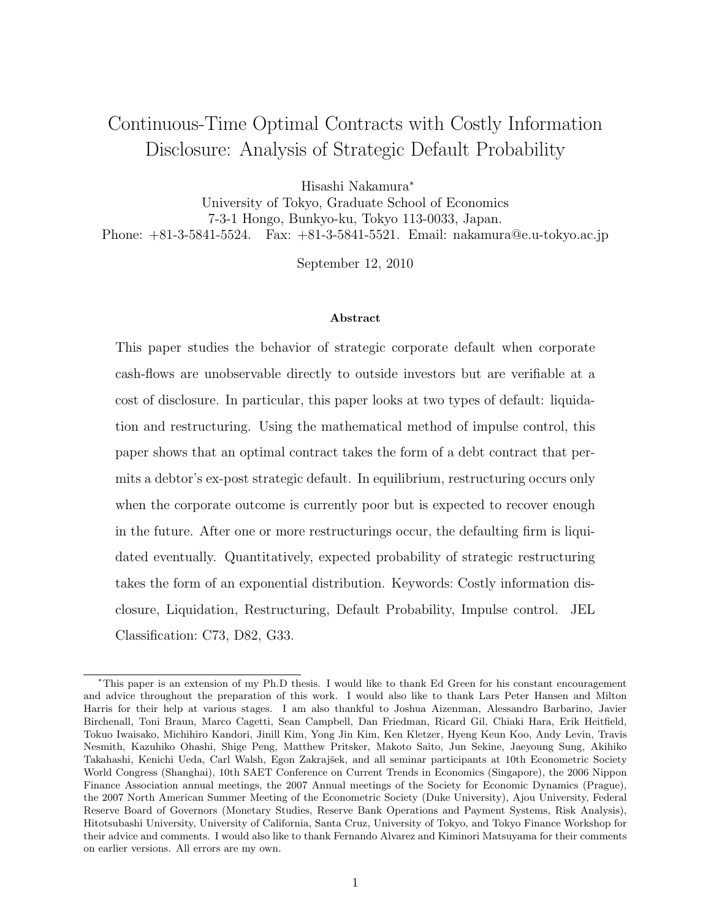# Continuous-Time Optimal Contracts with Costly Information Disclosure: Analysis of Strategic Default Probability

Hisashi Nakamura<sup>∗</sup>

University of Tokyo, Graduate School of Economics 7-3-1 Hongo, Bunkyo-ku, Tokyo 113-0033, Japan. Phone: +81-3-5841-5524. Fax: +81-3-5841-5521. Email: nakamura@e.u-tokyo.ac.jp

September 12, 2010

#### Abstract

This paper studies the behavior of strategic corporate default when corporate cash-flows are unobservable directly to outside investors but are verifiable at a cost of disclosure. In particular, this paper looks at two types of default: liquidation and restructuring. Using the mathematical method of impulse control, this paper shows that an optimal contract takes the form of a debt contract that permits a debtor's ex-post strategic default. In equilibrium, restructuring occurs only when the corporate outcome is currently poor but is expected to recover enough in the future. After one or more restructurings occur, the defaulting firm is liquidated eventually. Quantitatively, expected probability of strategic restructuring takes the form of an exponential distribution. Keywords: Costly information disclosure, Liquidation, Restructuring, Default Probability, Impulse control. JEL Classification: C73, D82, G33.

<sup>∗</sup>This paper is an extension of my Ph.D thesis. I would like to thank Ed Green for his constant encouragement and advice throughout the preparation of this work. I would also like to thank Lars Peter Hansen and Milton Harris for their help at various stages. I am also thankful to Joshua Aizenman, Alessandro Barbarino, Javier Birchenall, Toni Braun, Marco Cagetti, Sean Campbell, Dan Friedman, Ricard Gil, Chiaki Hara, Erik Heitfield, Tokuo Iwaisako, Michihiro Kandori, Jinill Kim, Yong Jin Kim, Ken Kletzer, Hyeng Keun Koo, Andy Levin, Travis Nesmith, Kazuhiko Ohashi, Shige Peng, Matthew Pritsker, Makoto Saito, Jun Sekine, Jaeyoung Sung, Akihiko Takahashi, Kenichi Ueda, Carl Walsh, Egon Zakrajšek, and all seminar participants at 10th Econometric Society World Congress (Shanghai), 10th SAET Conference on Current Trends in Economics (Singapore), the 2006 Nippon Finance Association annual meetings, the 2007 Annual meetings of the Society for Economic Dynamics (Prague), the 2007 North American Summer Meeting of the Econometric Society (Duke University), Ajou University, Federal Reserve Board of Governors (Monetary Studies, Reserve Bank Operations and Payment Systems, Risk Analysis), Hitotsubashi University, University of California, Santa Cruz, University of Tokyo, and Tokyo Finance Workshop for their advice and comments. I would also like to thank Fernando Alvarez and Kiminori Matsuyama for their comments on earlier versions. All errors are my own.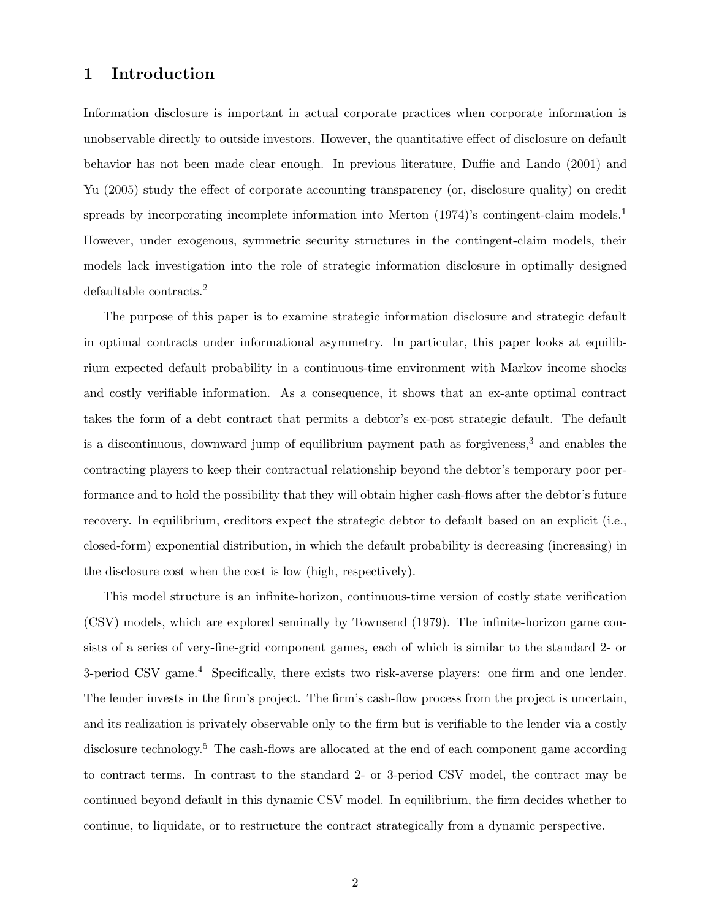## 1 Introduction

Information disclosure is important in actual corporate practices when corporate information is unobservable directly to outside investors. However, the quantitative effect of disclosure on default behavior has not been made clear enough. In previous literature, Duffie and Lando (2001) and Yu (2005) study the effect of corporate accounting transparency (or, disclosure quality) on credit spreads by incorporating incomplete information into Merton  $(1974)$ 's contingent-claim models.<sup>1</sup> However, under exogenous, symmetric security structures in the contingent-claim models, their models lack investigation into the role of strategic information disclosure in optimally designed defaultable contracts.<sup>2</sup>

The purpose of this paper is to examine strategic information disclosure and strategic default in optimal contracts under informational asymmetry. In particular, this paper looks at equilibrium expected default probability in a continuous-time environment with Markov income shocks and costly verifiable information. As a consequence, it shows that an ex-ante optimal contract takes the form of a debt contract that permits a debtor's ex-post strategic default. The default is a discontinuous, downward jump of equilibrium payment path as forgiveness,<sup>3</sup> and enables the contracting players to keep their contractual relationship beyond the debtor's temporary poor performance and to hold the possibility that they will obtain higher cash-flows after the debtor's future recovery. In equilibrium, creditors expect the strategic debtor to default based on an explicit (i.e., closed-form) exponential distribution, in which the default probability is decreasing (increasing) in the disclosure cost when the cost is low (high, respectively).

This model structure is an infinite-horizon, continuous-time version of costly state verification (CSV) models, which are explored seminally by Townsend (1979). The infinite-horizon game consists of a series of very-fine-grid component games, each of which is similar to the standard 2- or 3-period CSV game.<sup>4</sup> Specifically, there exists two risk-averse players: one firm and one lender. The lender invests in the firm's project. The firm's cash-flow process from the project is uncertain, and its realization is privately observable only to the firm but is verifiable to the lender via a costly disclosure technology.<sup>5</sup> The cash-flows are allocated at the end of each component game according to contract terms. In contrast to the standard 2- or 3-period CSV model, the contract may be continued beyond default in this dynamic CSV model. In equilibrium, the firm decides whether to continue, to liquidate, or to restructure the contract strategically from a dynamic perspective.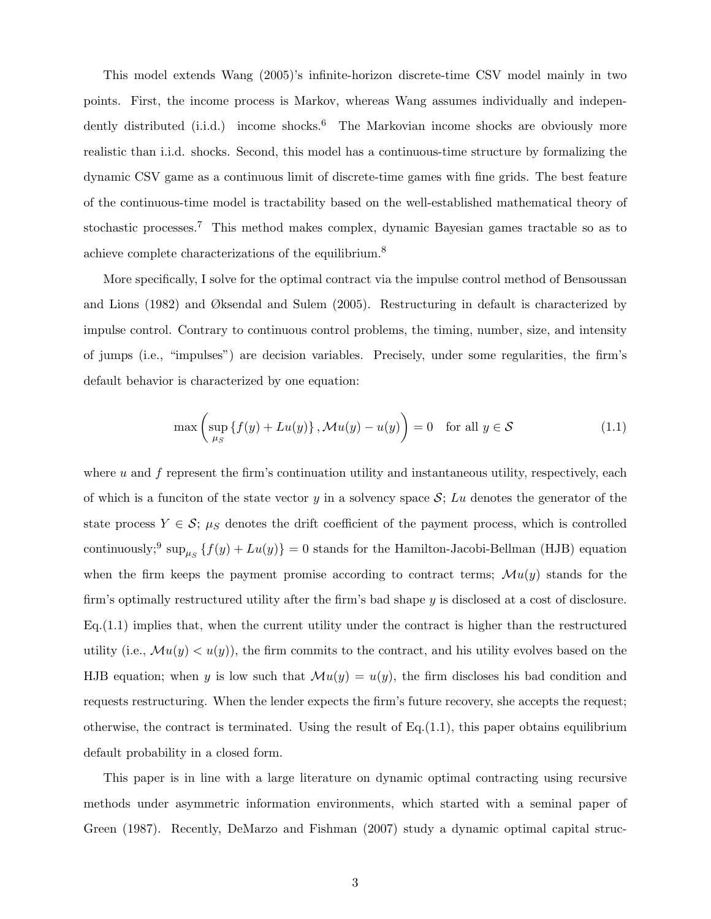This model extends Wang (2005)'s infinite-horizon discrete-time CSV model mainly in two points. First, the income process is Markov, whereas Wang assumes individually and independently distributed  $(i.i.d.)$  income shocks.<sup>6</sup> The Markovian income shocks are obviously more realistic than i.i.d. shocks. Second, this model has a continuous-time structure by formalizing the dynamic CSV game as a continuous limit of discrete-time games with fine grids. The best feature of the continuous-time model is tractability based on the well-established mathematical theory of stochastic processes.<sup>7</sup> This method makes complex, dynamic Bayesian games tractable so as to achieve complete characterizations of the equilibrium.<sup>8</sup>

More specifically, I solve for the optimal contract via the impulse control method of Bensoussan and Lions (1982) and Øksendal and Sulem (2005). Restructuring in default is characterized by impulse control. Contrary to continuous control problems, the timing, number, size, and intensity of jumps (i.e., "impulses") are decision variables. Precisely, under some regularities, the firm's default behavior is characterized by one equation:

$$
\max\left(\sup_{\mu_S} \left\{ f(y) + Lu(y) \right\}, \mathcal{M}u(y) - u(y) \right) = 0 \quad \text{for all } y \in \mathcal{S}
$$
 (1.1)

where  $u$  and  $f$  represent the firm's continuation utility and instantaneous utility, respectively, each of which is a funciton of the state vector y in a solvency space  $S$ ; Lu denotes the generator of the state process  $Y \in \mathcal{S}$ ;  $\mu_S$  denotes the drift coefficient of the payment process, which is controlled continuously;<sup>9</sup> sup<sub> $\mu_S$ </sub> { $f(y) + Lu(y)$ } = 0 stands for the Hamilton-Jacobi-Bellman (HJB) equation when the firm keeps the payment promise according to contract terms;  $\mathcal{M}u(y)$  stands for the firm's optimally restructured utility after the firm's bad shape y is disclosed at a cost of disclosure. Eq.(1.1) implies that, when the current utility under the contract is higher than the restructured utility (i.e.,  $\mathcal{M}u(y) < u(y)$ ), the firm commits to the contract, and his utility evolves based on the HJB equation; when y is low such that  $\mathcal{M}u(y) = u(y)$ , the firm discloses his bad condition and requests restructuring. When the lender expects the firm's future recovery, she accepts the request; otherwise, the contract is terminated. Using the result of  $Eq.(1.1)$ , this paper obtains equilibrium default probability in a closed form.

This paper is in line with a large literature on dynamic optimal contracting using recursive methods under asymmetric information environments, which started with a seminal paper of Green (1987). Recently, DeMarzo and Fishman (2007) study a dynamic optimal capital struc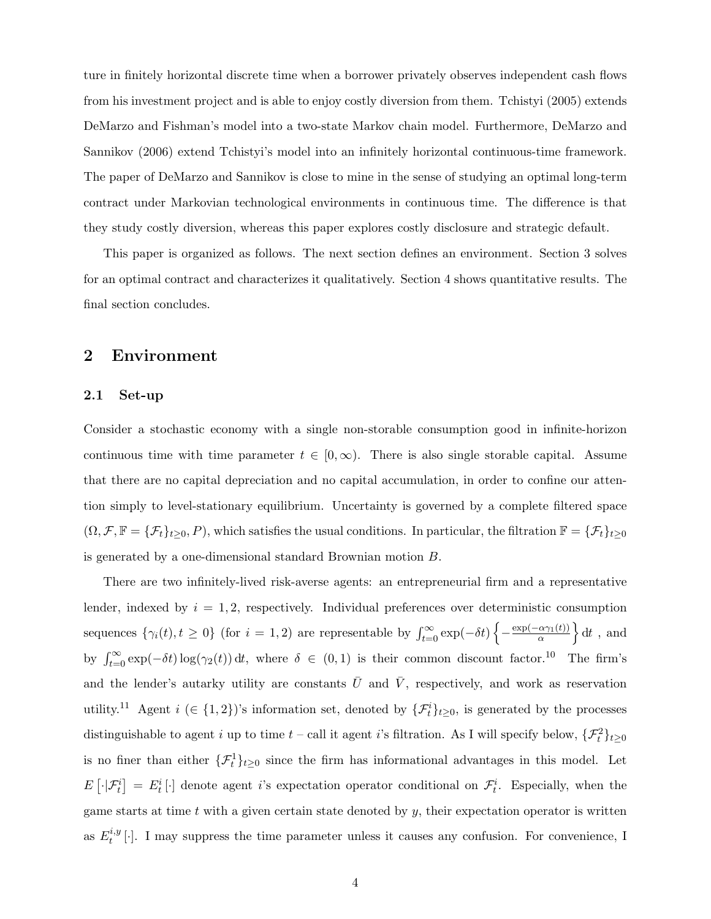ture in finitely horizontal discrete time when a borrower privately observes independent cash flows from his investment project and is able to enjoy costly diversion from them. Tchistyi (2005) extends DeMarzo and Fishman's model into a two-state Markov chain model. Furthermore, DeMarzo and Sannikov (2006) extend Tchistyi's model into an infinitely horizontal continuous-time framework. The paper of DeMarzo and Sannikov is close to mine in the sense of studying an optimal long-term contract under Markovian technological environments in continuous time. The difference is that they study costly diversion, whereas this paper explores costly disclosure and strategic default.

This paper is organized as follows. The next section defines an environment. Section 3 solves for an optimal contract and characterizes it qualitatively. Section 4 shows quantitative results. The final section concludes.

## 2 Environment

#### 2.1 Set-up

Consider a stochastic economy with a single non-storable consumption good in infinite-horizon continuous time with time parameter  $t \in [0,\infty)$ . There is also single storable capital. Assume that there are no capital depreciation and no capital accumulation, in order to confine our attention simply to level-stationary equilibrium. Uncertainty is governed by a complete filtered space  $(\Omega, \mathcal{F}, \mathbb{F} = {\{\mathcal{F}_t\}_{t\geq 0}}, P)$ , which satisfies the usual conditions. In particular, the filtration  $\mathbb{F} = {\{\mathcal{F}_t\}_{t\geq 0}}$ is generated by a one-dimensional standard Brownian motion B.

There are two infinitely-lived risk-averse agents: an entrepreneurial firm and a representative lender, indexed by  $i = 1, 2$ , respectively. Individual preferences over deterministic consumption sequences  $\{\gamma_i(t), t \geq 0\}$  (for  $i = 1, 2$ ) are representable by  $\int_{t=0}^{\infty} \exp(-\delta t) \left\{-\frac{\exp(-\alpha \gamma_1(t))}{\alpha}\right\}$  $\left\{\frac{\alpha\gamma_1(t)}{\alpha}\right\} dt$ , and by  $\int_{t=0}^{\infty} \exp(-\delta t) \log(\gamma_2(t)) dt$ , where  $\delta \in (0,1)$  is their common discount factor.<sup>10</sup> The firm's and the lender's autarky utility are constants  $\bar{U}$  and  $\bar{V}$ , respectively, and work as reservation utility.<sup>11</sup> Agent  $i \in \{1,2\}$ 's information set, denoted by  $\{\mathcal{F}_t^i\}_{t \geq 0}$ , is generated by the processes distinguishable to agent i up to time  $t$  – call it agent i's filtration. As I will specify below,  $\{\mathcal{F}_t^2\}_{t\geq 0}$ is no finer than either  $\{\mathcal{F}_t^1\}_{t\geq 0}$  since the firm has informational advantages in this model. Let  $E[\cdot|\mathcal{F}_t^i] = E_t^i[\cdot]$  denote agent i's expectation operator conditional on  $\mathcal{F}_t^i$ . Especially, when the game starts at time  $t$  with a given certain state denoted by  $y$ , their expectation operator is written as  $E_t^{i,y}$  $t^{i,y}[.]$ . I may suppress the time parameter unless it causes any confusion. For convenience, I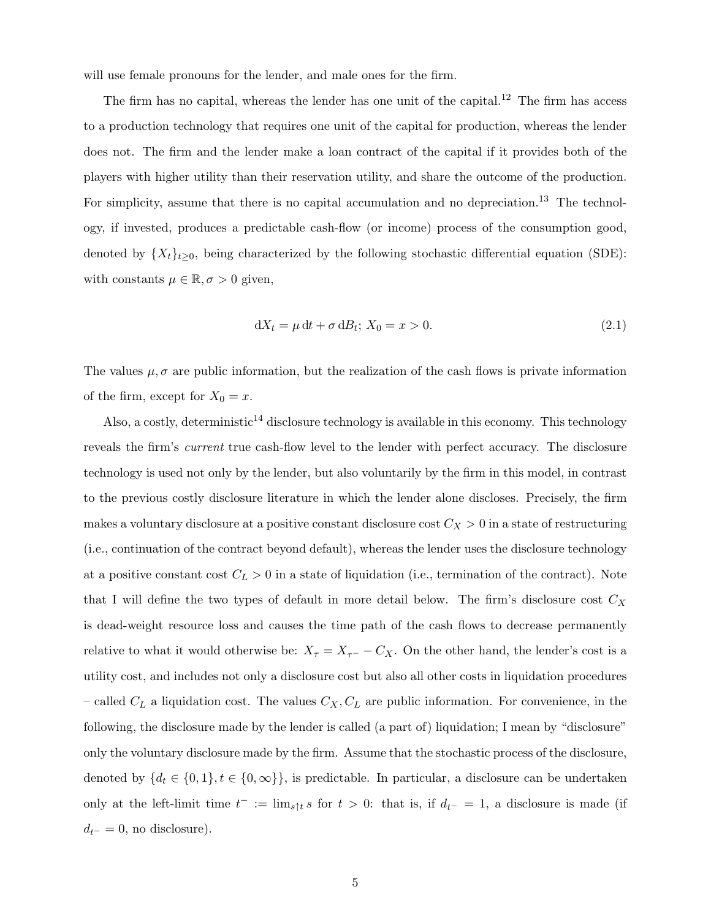will use female pronouns for the lender, and male ones for the firm.

The firm has no capital, whereas the lender has one unit of the capital.<sup>12</sup> The firm has access to a production technology that requires one unit of the capital for production, whereas the lender does not. The firm and the lender make a loan contract of the capital if it provides both of the players with higher utility than their reservation utility, and share the outcome of the production. For simplicity, assume that there is no capital accumulation and no depreciation.<sup>13</sup> The technology, if invested, produces a predictable cash-flow (or income) process of the consumption good, denoted by  $\{X_t\}_{t\geq0}$ , being characterized by the following stochastic differential equation (SDE): with constants  $\mu \in \mathbb{R}, \sigma > 0$  given,

$$
dX_t = \mu dt + \sigma dB_t; X_0 = x > 0.
$$
\n
$$
(2.1)
$$

The values  $\mu$ ,  $\sigma$  are public information, but the realization of the cash flows is private information of the firm, except for  $X_0 = x$ .

Also, a costly, deterministic<sup>14</sup> disclosure technology is available in this economy. This technology reveals the firm's current true cash-flow level to the lender with perfect accuracy. The disclosure technology is used not only by the lender, but also voluntarily by the firm in this model, in contrast to the previous costly disclosure literature in which the lender alone discloses. Precisely, the firm makes a voluntary disclosure at a positive constant disclosure cost  $C_X > 0$  in a state of restructuring (i.e., continuation of the contract beyond default), whereas the lender uses the disclosure technology at a positive constant cost  $C_L > 0$  in a state of liquidation (i.e., termination of the contract). Note that I will define the two types of default in more detail below. The firm's disclosure cost  $C_X$ is dead-weight resource loss and causes the time path of the cash flows to decrease permanently relative to what it would otherwise be:  $X_{\tau} = X_{\tau} - C_X$ . On the other hand, the lender's cost is a utility cost, and includes not only a disclosure cost but also all other costs in liquidation procedures – called  $C_L$  a liquidation cost. The values  $C_X, C_L$  are public information. For convenience, in the following, the disclosure made by the lender is called (a part of) liquidation; I mean by "disclosure" only the voluntary disclosure made by the firm. Assume that the stochastic process of the disclosure, denoted by  $\{d_t \in \{0, 1\}, t \in \{0, \infty\}\}\$ , is predictable. In particular, a disclosure can be undertaken only at the left-limit time  $t^- := \lim_{s \uparrow t} s$  for  $t > 0$ : that is, if  $d_{t-} = 1$ , a disclosure is made (if  $d_{t-} = 0$ , no disclosure).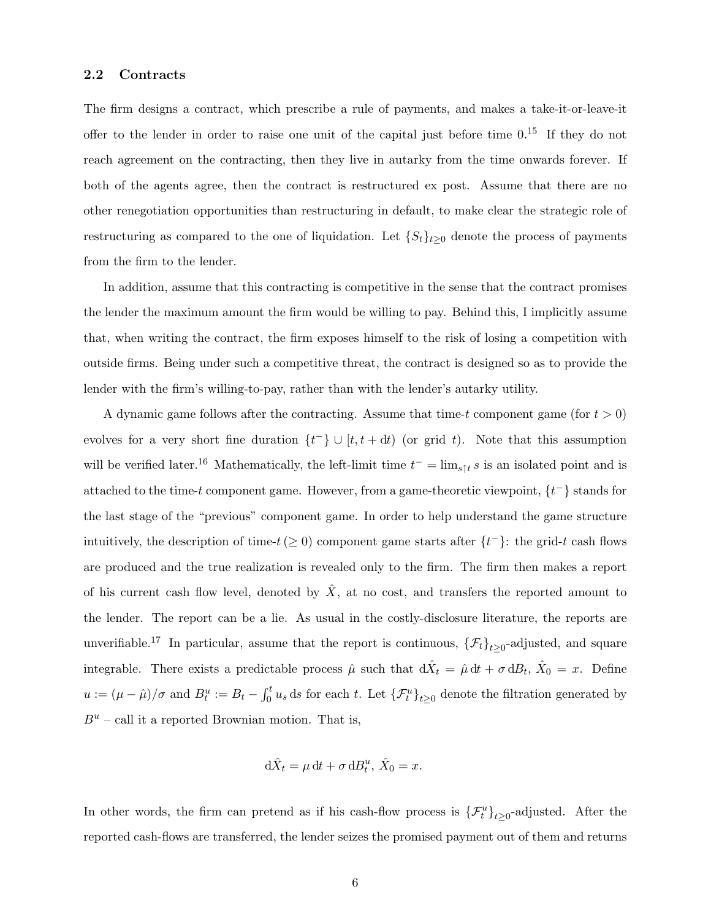#### 2.2 Contracts

The firm designs a contract, which prescribe a rule of payments, and makes a take-it-or-leave-it offer to the lender in order to raise one unit of the capital just before time  $0<sup>15</sup>$  If they do not reach agreement on the contracting, then they live in autarky from the time onwards forever. If both of the agents agree, then the contract is restructured ex post. Assume that there are no other renegotiation opportunities than restructuring in default, to make clear the strategic role of restructuring as compared to the one of liquidation. Let  $\{S_t\}_{t>0}$  denote the process of payments from the firm to the lender.

In addition, assume that this contracting is competitive in the sense that the contract promises the lender the maximum amount the firm would be willing to pay. Behind this, I implicitly assume that, when writing the contract, the firm exposes himself to the risk of losing a competition with outside firms. Being under such a competitive threat, the contract is designed so as to provide the lender with the firm's willing-to-pay, rather than with the lender's autarky utility.

A dynamic game follows after the contracting. Assume that time-t component game (for  $t > 0$ ) evolves for a very short fine duration  $\{t^{-}\}\cup [t, t+dt)$  (or grid t). Note that this assumption will be verified later.<sup>16</sup> Mathematically, the left-limit time  $t^- = \lim_{s \uparrow t} s$  is an isolated point and is attached to the time-t component game. However, from a game-theoretic viewpoint,  $\{t^-\}$  stands for the last stage of the "previous" component game. In order to help understand the game structure intuitively, the description of time- $t \geq 0$  component game starts after  $\{t^{-}\}\$ : the grid-t cash flows are produced and the true realization is revealed only to the firm. The firm then makes a report of his current cash flow level, denoted by  $\ddot{X}$ , at no cost, and transfers the reported amount to the lender. The report can be a lie. As usual in the costly-disclosure literature, the reports are unverifiable.<sup>17</sup> In particular, assume that the report is continuous,  $\{\mathcal{F}_t\}_{t\geq 0}$ -adjusted, and square integrable. There exists a predictable process  $\hat{\mu}$  such that  $d\hat{X}_t = \hat{\mu} dt + \sigma dB_t$ ,  $\hat{X}_0 = x$ . Define  $u := (\mu - \hat{\mu})/\sigma$  and  $B_t^u := B_t - \int_0^t u_s ds$  for each t. Let  $\{\mathcal{F}_t^u\}_{t \geq 0}$  denote the filtration generated by  $B^u$  – call it a reported Brownian motion. That is,

$$
\mathrm{d}\hat{X}_t = \mu \,\mathrm{d}t + \sigma \,\mathrm{d}B_t^u, \,\hat{X}_0 = x.
$$

In other words, the firm can pretend as if his cash-flow process is  $\{\mathcal{F}^u_t\}_{t\geq 0}$ -adjusted. After the reported cash-flows are transferred, the lender seizes the promised payment out of them and returns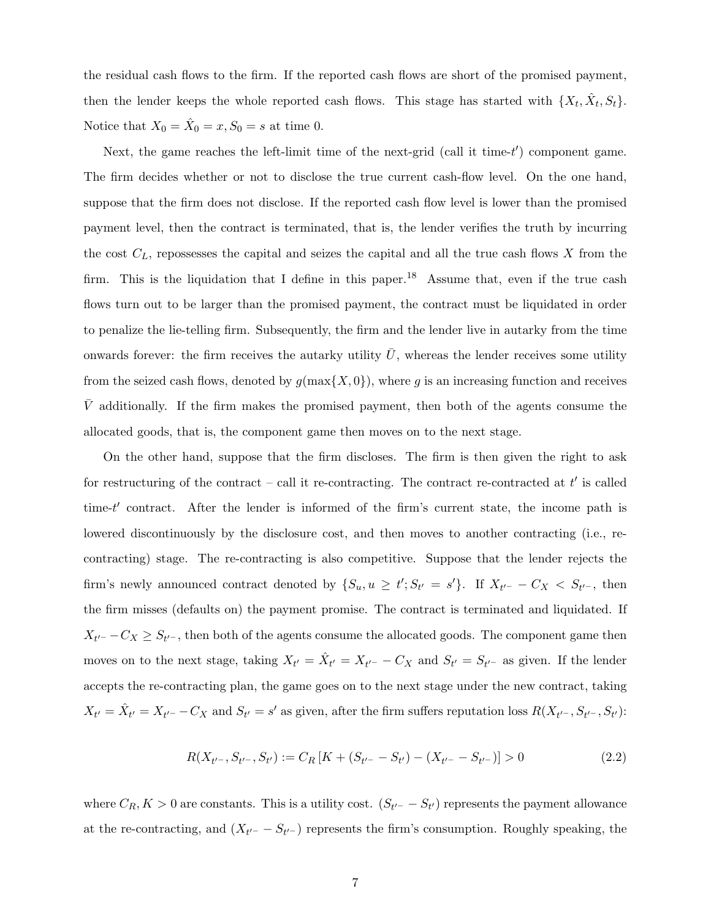the residual cash flows to the firm. If the reported cash flows are short of the promised payment, then the lender keeps the whole reported cash flows. This stage has started with  $\{X_t, \hat{X}_t, S_t\}$ . Notice that  $X_0 = \hat{X}_0 = x, S_0 = s$  at time 0.

Next, the game reaches the left-limit time of the next-grid (call it time- $t'$ ) component game. The firm decides whether or not to disclose the true current cash-flow level. On the one hand, suppose that the firm does not disclose. If the reported cash flow level is lower than the promised payment level, then the contract is terminated, that is, the lender verifies the truth by incurring the cost  $C_L$ , repossesses the capital and seizes the capital and all the true cash flows X from the firm. This is the liquidation that I define in this paper.<sup>18</sup> Assume that, even if the true cash flows turn out to be larger than the promised payment, the contract must be liquidated in order to penalize the lie-telling firm. Subsequently, the firm and the lender live in autarky from the time onwards forever: the firm receives the autarky utility  $\bar{U}$ , whereas the lender receives some utility from the seized cash flows, denoted by  $g(\max\{X, 0\})$ , where g is an increasing function and receives  $\bar{V}$  additionally. If the firm makes the promised payment, then both of the agents consume the allocated goods, that is, the component game then moves on to the next stage.

On the other hand, suppose that the firm discloses. The firm is then given the right to ask for restructuring of the contract – call it re-contracting. The contract re-contracted at  $t'$  is called time- $t'$  contract. After the lender is informed of the firm's current state, the income path is lowered discontinuously by the disclosure cost, and then moves to another contracting (i.e., recontracting) stage. The re-contracting is also competitive. Suppose that the lender rejects the firm's newly announced contract denoted by  $\{S_u, u \geq t' ; S_{t'} = s'\}$ . If  $X_{t'^-} - C_X < S_{t'^-}$ , then the firm misses (defaults on) the payment promise. The contract is terminated and liquidated. If  $X_{t'}$ - $-C_X \geq S_{t'}$ , then both of the agents consume the allocated goods. The component game then moves on to the next stage, taking  $X_{t'} = \hat{X}_{t'} = X_{t'} - C_X$  and  $S_{t'} = S_{t'}$  as given. If the lender accepts the re-contracting plan, the game goes on to the next stage under the new contract, taking  $X_{t'} = \hat{X}_{t'} = X_{t'-} - C_X$  and  $S_{t'} = s'$  as given, after the firm suffers reputation loss  $R(X_{t'-}, S_{t'-}, S_{t'})$ :

$$
R(X_{t'-}, S_{t'-}, S_{t'}) := C_R \left[ K + (S_{t'-} - S_{t'}) - (X_{t'-} - S_{t'-}) \right] > 0 \tag{2.2}
$$

where  $C_R$ ,  $K > 0$  are constants. This is a utility cost.  $(S_{t'}-S_{t'})$  represents the payment allowance at the re-contracting, and  $(X_{t'-} - S_{t'-})$  represents the firm's consumption. Roughly speaking, the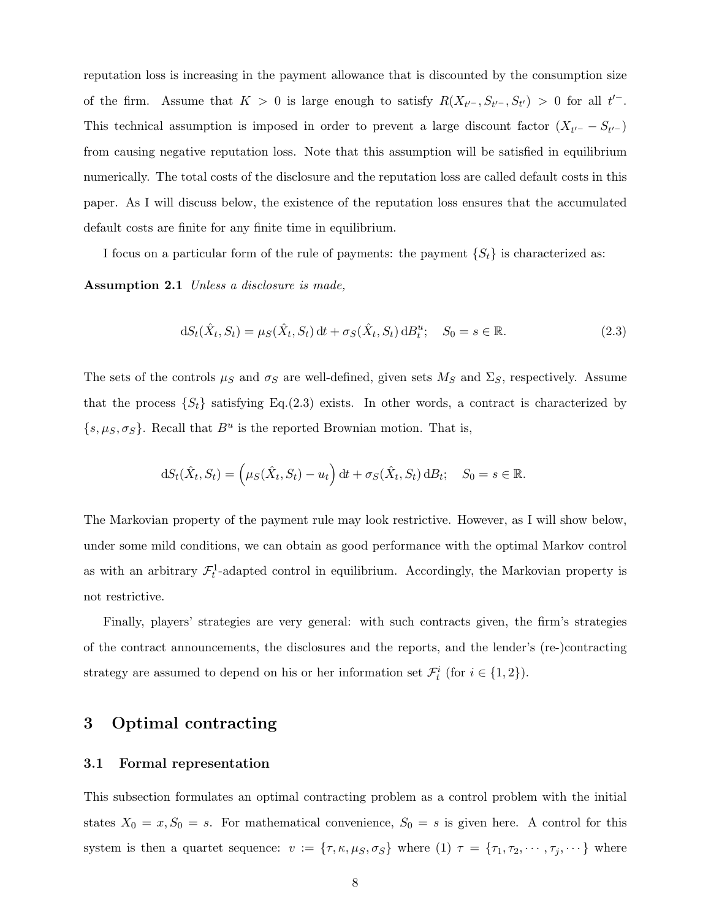reputation loss is increasing in the payment allowance that is discounted by the consumption size of the firm. Assume that  $K > 0$  is large enough to satisfy  $R(X_{t'-}, S_{t'-}, S_{t'}) > 0$  for all  $t'^-$ . This technical assumption is imposed in order to prevent a large discount factor  $(X_{t'}-S_{t'}-)$ from causing negative reputation loss. Note that this assumption will be satisfied in equilibrium numerically. The total costs of the disclosure and the reputation loss are called default costs in this paper. As I will discuss below, the existence of the reputation loss ensures that the accumulated default costs are finite for any finite time in equilibrium.

I focus on a particular form of the rule of payments: the payment  $\{S_t\}$  is characterized as:

Assumption 2.1 Unless a disclosure is made,

$$
dS_t(\hat{X}_t, S_t) = \mu_S(\hat{X}_t, S_t) dt + \sigma_S(\hat{X}_t, S_t) dB_t^u; \quad S_0 = s \in \mathbb{R}.
$$
\n(2.3)

The sets of the controls  $\mu_S$  and  $\sigma_S$  are well-defined, given sets  $M_S$  and  $\Sigma_S$ , respectively. Assume that the process  $\{S_t\}$  satisfying Eq.(2.3) exists. In other words, a contract is characterized by  $\{s, \mu_S, \sigma_S\}$ . Recall that  $B^u$  is the reported Brownian motion. That is,

$$
dS_t(\hat{X}_t, S_t) = (\mu_S(\hat{X}_t, S_t) - u_t) dt + \sigma_S(\hat{X}_t, S_t) dB_t; \quad S_0 = s \in \mathbb{R}.
$$

The Markovian property of the payment rule may look restrictive. However, as I will show below, under some mild conditions, we can obtain as good performance with the optimal Markov control as with an arbitrary  $\mathcal{F}^1_t$ -adapted control in equilibrium. Accordingly, the Markovian property is not restrictive.

Finally, players' strategies are very general: with such contracts given, the firm's strategies of the contract announcements, the disclosures and the reports, and the lender's (re-)contracting strategy are assumed to depend on his or her information set  $\mathcal{F}_t^i$  (for  $i \in \{1,2\}$ ).

## 3 Optimal contracting

### 3.1 Formal representation

This subsection formulates an optimal contracting problem as a control problem with the initial states  $X_0 = x, S_0 = s$ . For mathematical convenience,  $S_0 = s$  is given here. A control for this system is then a quartet sequence:  $v := {\tau, \kappa, \mu_S, \sigma_S}$  where (1)  $\tau = {\tau_1, \tau_2, \cdots, \tau_j, \cdots}$  where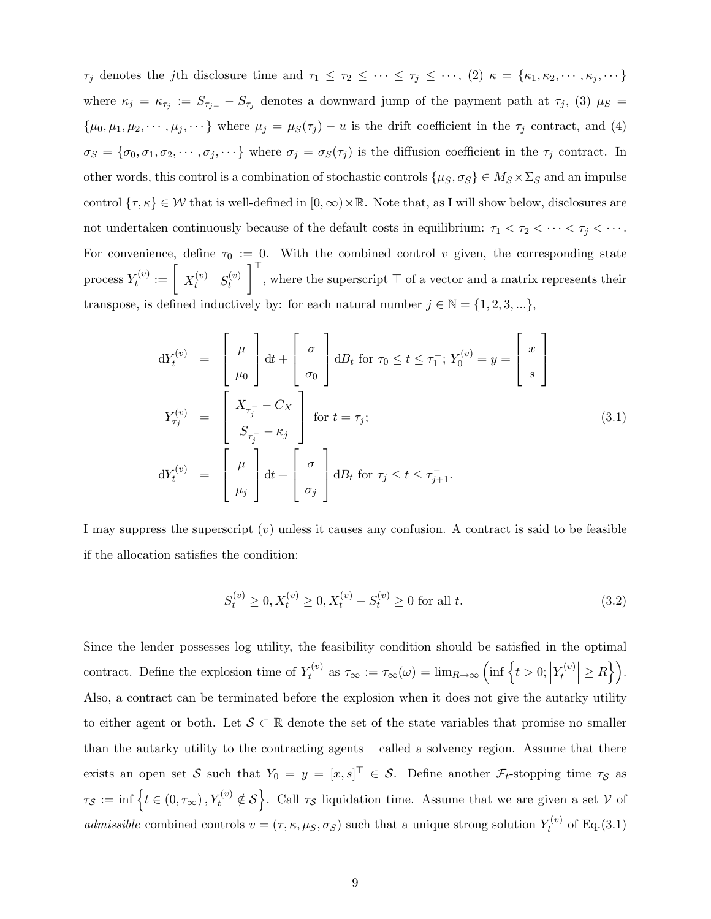$\tau_j$  denotes the jth disclosure time and  $\tau_1 \leq \tau_2 \leq \cdots \leq \tau_j \leq \cdots$ ,  $(2)$   $\kappa = {\kappa_1, \kappa_2, \cdots, \kappa_j, \cdots}$ where  $\kappa_j = \kappa_{\tau_j} := S_{\tau_{j-}} - S_{\tau_j}$  denotes a downward jump of the payment path at  $\tau_j$ , (3)  $\mu_S =$  $\{\mu_0, \mu_1, \mu_2, \cdots, \mu_j, \cdots\}$  where  $\mu_j = \mu_S(\tau_j) - u$  is the drift coefficient in the  $\tau_j$  contract, and (4)  $\sigma_S = {\sigma_0, \sigma_1, \sigma_2, \cdots, \sigma_j, \cdots}$  where  $\sigma_j = \sigma_S(\tau_j)$  is the diffusion coefficient in the  $\tau_j$  contract. In other words, this control is a combination of stochastic controls  $\{\mu_S, \sigma_S\} \in M_S \times \Sigma_S$  and an impulse control  $\{\tau, \kappa\} \in \mathcal{W}$  that is well-defined in  $[0, \infty) \times \mathbb{R}$ . Note that, as I will show below, disclosures are not undertaken continuously because of the default costs in equilibrium:  $\tau_1 < \tau_2 < \cdots < \tau_j < \cdots$ . For convenience, define  $\tau_0 := 0$ . With the combined control v given, the corresponding state process  $Y_t^{(v)}$  $\tau_t^{(v)} := \left[ \begin{array}{cc} X_t^{(v)} & S_t^{(v)} \end{array} \right]$ t  $\int_{0}^{\top}$ , where the superscript  $\top$  of a vector and a matrix represents their transpose, is defined inductively by: for each natural number  $j \in \mathbb{N} = \{1, 2, 3, ...\}$ ,

$$
dY_t^{(v)} = \begin{bmatrix} \mu \\ \mu_0 \end{bmatrix} dt + \begin{bmatrix} \sigma \\ \sigma_0 \end{bmatrix} dB_t \text{ for } \tau_0 \le t \le \tau_1^-; Y_0^{(v)} = y = \begin{bmatrix} x \\ s \end{bmatrix}
$$
  
\n
$$
Y_{\tau_j}^{(v)} = \begin{bmatrix} X_{\tau_j^-} - C_X \\ S_{\tau_j^-} - \kappa_j \end{bmatrix} \text{ for } t = \tau_j;
$$
  
\n
$$
dY_t^{(v)} = \begin{bmatrix} \mu \\ \mu_j \end{bmatrix} dt + \begin{bmatrix} \sigma \\ \sigma_j \end{bmatrix} dB_t \text{ for } \tau_j \le t \le \tau_{j+1}^-.
$$
\n(3.1)

I may suppress the superscript  $(v)$  unless it causes any confusion. A contract is said to be feasible if the allocation satisfies the condition:

$$
S_t^{(v)} \ge 0, X_t^{(v)} \ge 0, X_t^{(v)} - S_t^{(v)} \ge 0 \text{ for all } t.
$$
\n(3.2)

Since the lender possesses log utility, the feasibility condition should be satisfied in the optimal contract. Define the explosion time of  $Y_t^{(v)}$  $\tau_t^{(v)}$  as  $\tau_{\infty} := \tau_{\infty}(\omega) = \lim_{R \to \infty} \left( \inf \left\{ t > 0; \right\} \right)$  $Y_t^{(v)}$  $\left| \mathcal{F}_t^{(v)} \right| \geq R \big\}$ . Also, a contract can be terminated before the explosion when it does not give the autarky utility to either agent or both. Let  $S \subset \mathbb{R}$  denote the set of the state variables that promise no smaller than the autarky utility to the contracting agents – called a solvency region. Assume that there exists an open set S such that  $Y_0 = y = [x, s]^\top \in S$ . Define another  $\mathcal{F}_t$ -stopping time  $\tau_S$  as  $\tau_{\mathcal{S}} := \inf \left\{ t \in (0, \tau_{\infty}), Y_t^{(v)} \notin \mathcal{S} \right\}$ . Call  $\tau_{\mathcal{S}}$  liquidation time. Assume that we are given a set V of admissible combined controls  $v = (\tau, \kappa, \mu_S, \sigma_S)$  such that a unique strong solution  $Y_t^{(v)}$  $t_t^{(v)}$  of Eq.(3.1)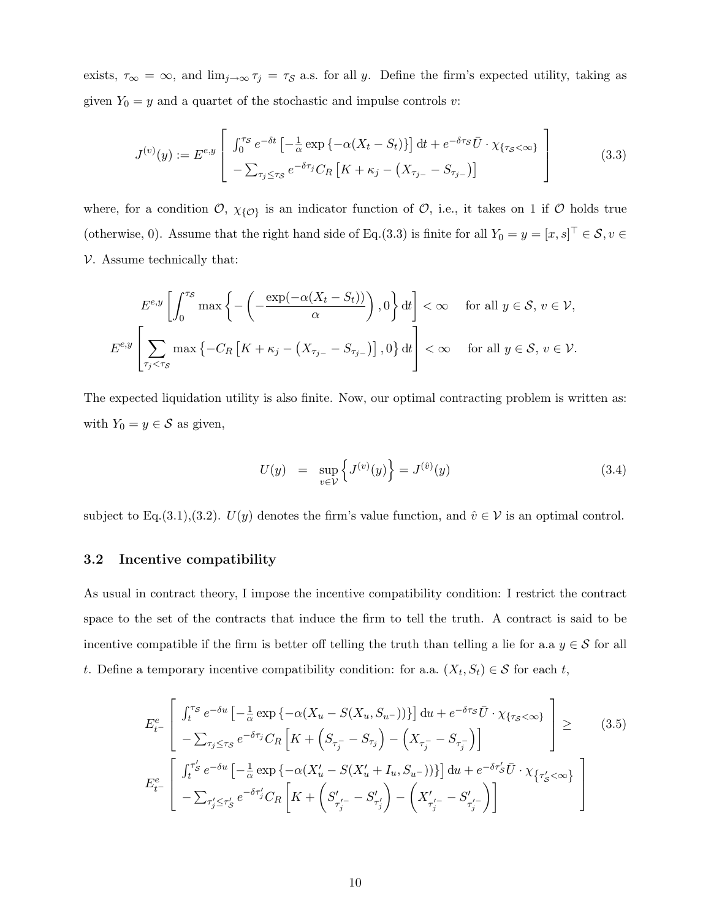exists,  $\tau_{\infty} = \infty$ , and  $\lim_{j \to \infty} \tau_j = \tau_{\mathcal{S}}$  a.s. for all y. Define the firm's expected utility, taking as given  $Y_0 = y$  and a quartet of the stochastic and impulse controls v:

$$
J^{(v)}(y) := E^{e,y} \left[ \int_0^{\tau_S} e^{-\delta t} \left[ -\frac{1}{\alpha} \exp \left\{ -\alpha (X_t - S_t) \right\} \right] dt + e^{-\delta \tau_S} \bar{U} \cdot \chi_{\{\tau_S < \infty\}} \right] - \sum_{\tau_j \le \tau_S} e^{-\delta \tau_j} C_R \left[ K + \kappa_j - (X_{\tau_{j-}} - S_{\tau_{j-}}) \right]
$$
(3.3)

where, for a condition  $\mathcal{O}, \chi_{\{\mathcal{O}\}}$  is an indicator function of  $\mathcal{O}$ , i.e., it takes on 1 if  $\mathcal O$  holds true (otherwise, 0). Assume that the right hand side of Eq.(3.3) is finite for all  $Y_0 = y = [x, s]^\top \in \mathcal{S}, v \in \mathcal{S}$  $V.$  Assume technically that:

$$
E^{e,y}\left[\int_0^{\tau_S} \max\left\{-\left(-\frac{\exp(-\alpha(X_t - S_t))}{\alpha}\right), 0\right\} dt\right] < \infty \quad \text{ for all } y \in S, v \in V,
$$
  

$$
E^{e,y}\left[\sum_{\tau_j < \tau_S} \max\left\{-C_R \left[K + \kappa_j - (X_{\tau_{j-}} - S_{\tau_{j-}})\right], 0\right\} dt\right] < \infty \quad \text{ for all } y \in S, v \in V.
$$

The expected liquidation utility is also finite. Now, our optimal contracting problem is written as: with  $Y_0 = y \in \mathcal{S}$  as given,

$$
U(y) = \sup_{v \in \mathcal{V}} \left\{ J^{(v)}(y) \right\} = J^{(\hat{v})}(y) \tag{3.4}
$$

subject to Eq.(3.1),(3.2).  $U(y)$  denotes the firm's value function, and  $\hat{v} \in V$  is an optimal control.

### 3.2 Incentive compatibility

As usual in contract theory, I impose the incentive compatibility condition: I restrict the contract space to the set of the contracts that induce the firm to tell the truth. A contract is said to be incentive compatible if the firm is better off telling the truth than telling a lie for a.a  $y \in \mathcal{S}$  for all t. Define a temporary incentive compatibility condition: for a.a.  $(X_t, S_t) \in \mathcal{S}$  for each t,

$$
E_{t-}^{e} \left[ \int_{t}^{\tau_{S}} e^{-\delta u} \left[ -\frac{1}{\alpha} \exp \left\{ -\alpha (X_{u} - S(X_{u}, S_{u-})) \right\} \right] du + e^{-\delta \tau_{S}} \bar{U} \cdot \chi_{\{\tau_{S} < \infty\}} - \sum_{\tau_{j} \leq \tau_{S}} e^{-\delta \tau_{j}} C_{R} \left[ K + \left( S_{\tau_{j}} - S_{\tau_{j}} \right) - \left( X_{\tau_{j}} - S_{\tau_{j}} \right) \right] \right] \geq
$$
(3.5)  

$$
E_{t-}^{e} \left[ \int_{t}^{\tau_{S}'} e^{-\delta u} \left[ -\frac{1}{\alpha} \exp \left\{ -\alpha (X_{u}' - S(X_{u}' + I_{u}, S_{u-})) \right\} \right] du + e^{-\delta \tau_{S}'} \bar{U} \cdot \chi_{\{\tau_{S}' < \infty\}} - \sum_{\tau_{j}' \leq \tau_{S}'} e^{-\delta \tau_{j}'} C_{R} \left[ K + \left( S_{\tau_{j}'}' - S_{\tau_{j}'}' \right) - \left( X_{\tau_{j}'}' - S_{\tau_{j}'}' \right) \right]
$$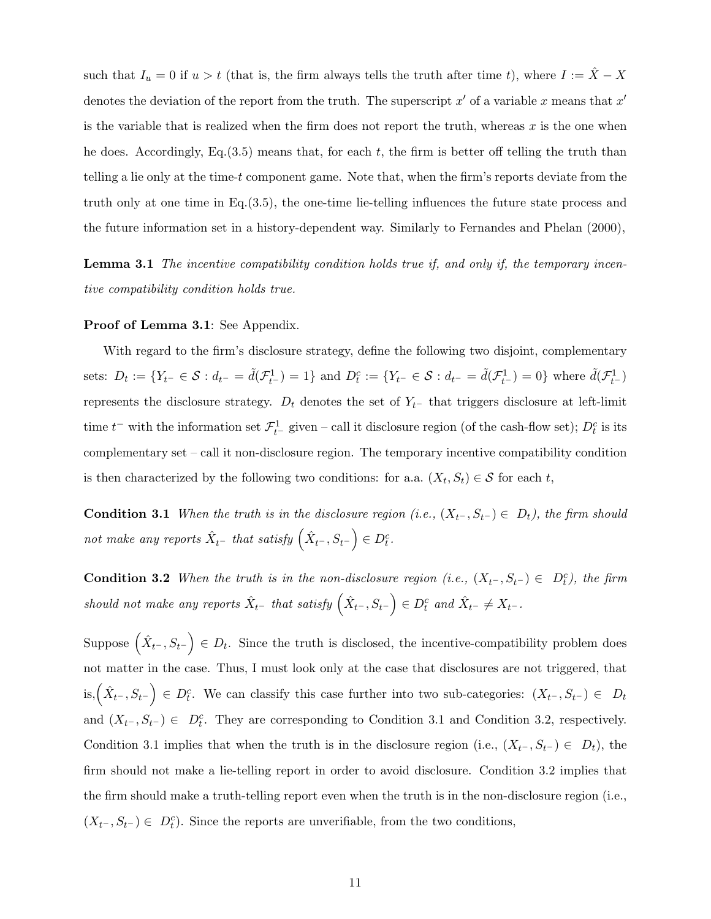such that  $I_u = 0$  if  $u > t$  (that is, the firm always tells the truth after time t), where  $I := \hat{X} - X$ denotes the deviation of the report from the truth. The superscript  $x'$  of a variable x means that  $x'$ is the variable that is realized when the firm does not report the truth, whereas  $x$  is the one when he does. Accordingly, Eq.  $(3.5)$  means that, for each t, the firm is better off telling the truth than telling a lie only at the time-t component game. Note that, when the firm's reports deviate from the truth only at one time in Eq.(3.5), the one-time lie-telling influences the future state process and the future information set in a history-dependent way. Similarly to Fernandes and Phelan (2000),

**Lemma 3.1** The incentive compatibility condition holds true if, and only if, the temporary incentive compatibility condition holds true.

#### Proof of Lemma 3.1: See Appendix.

With regard to the firm's disclosure strategy, define the following two disjoint, complementary sets:  $D_t := \{ Y_{t^-} \in \mathcal{S} : d_{t^-} = \tilde{d}(\mathcal{F}_{t^-}^1) = 1 \}$  and  $D_t^c := \{ Y_{t^-} \in \mathcal{S} : d_{t^-} = \tilde{d}(\mathcal{F}_{t^-}^1) = 0 \}$  where  $\tilde{d}(\mathcal{F}_{t^-}^1)$ represents the disclosure strategy.  $D_t$  denotes the set of  $Y_{t-}$  that triggers disclosure at left-limit time  $t^-$  with the information set  $\mathcal{F}^1_{t^-}$  given – call it disclosure region (of the cash-flow set);  $D_t^c$  is its complementary set – call it non-disclosure region. The temporary incentive compatibility condition is then characterized by the following two conditions: for a.a.  $(X_t, S_t) \in \mathcal{S}$  for each t,

**Condition 3.1** When the truth is in the disclosure region (i.e.,  $(X_t-, S_{t-}) \in D_t$ ), the firm should not make any reports  $\hat{X}_{t-}$  that satisfy  $(\hat{X}_{t-}, S_{t-}) \in D_t^c$ .

**Condition 3.2** When the truth is in the non-disclosure region (i.e.,  $(X_{t-}, S_{t-}) \in D_t^c$ ), the firm should not make any reports  $\hat{X}_{t-}$  that satisfy  $(\hat{X}_{t-}, S_{t-}) \in D_t^c$  and  $\hat{X}_{t-} \neq X_{t-}$ .

Suppose  $(\hat{X}_{t-}, S_{t-}) \in D_t$ . Since the truth is disclosed, the incentive-compatibility problem does not matter in the case. Thus, I must look only at the case that disclosures are not triggered, that is,  $(\hat{X}_{t-}, S_{t-})$  ∈  $D_t^c$ . We can classify this case further into two sub-categories:  $(X_{t-}, S_{t-})$  ∈  $D_t$ and  $(X_{t}^-, S_{t^-}) \in D_t^c$ . They are corresponding to Condition 3.1 and Condition 3.2, respectively. Condition 3.1 implies that when the truth is in the disclosure region (i.e.,  $(X_{t^-}, S_{t^-}) \in D_t$ ), the firm should not make a lie-telling report in order to avoid disclosure. Condition 3.2 implies that the firm should make a truth-telling report even when the truth is in the non-disclosure region (i.e.,  $(X_{t^-}, S_{t^-}) \in D_t^c$ ). Since the reports are unverifiable, from the two conditions,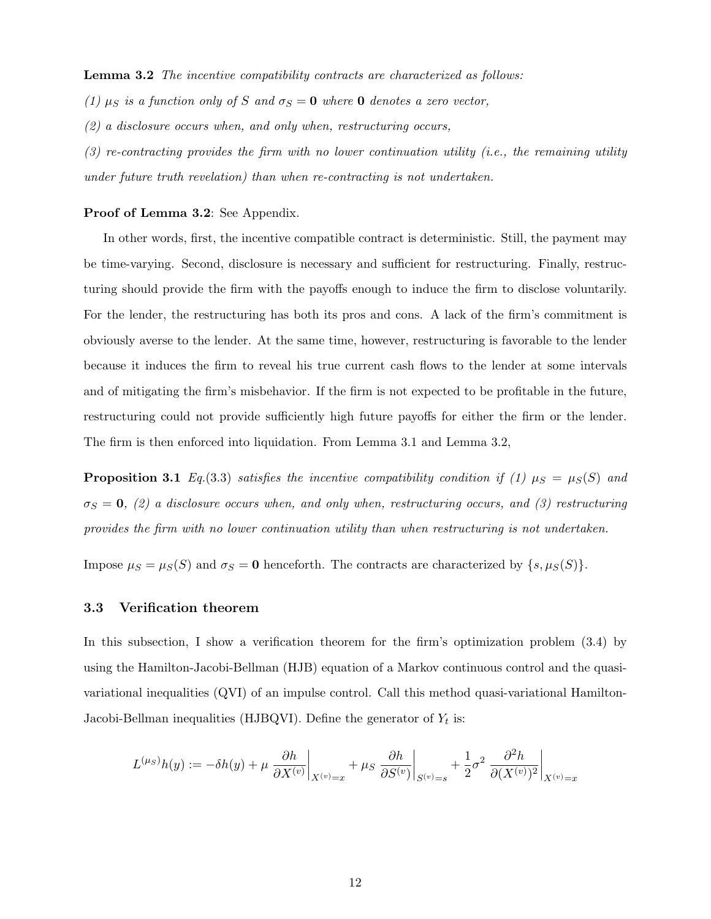Lemma 3.2 The incentive compatibility contracts are characterized as follows:

(1)  $\mu_S$  is a function only of S and  $\sigma_S = 0$  where 0 denotes a zero vector,

 $(2)$  a disclosure occurs when, and only when, restructuring occurs,

 $(3)$  re-contracting provides the firm with no lower continuation utility (i.e., the remaining utility under future truth revelation) than when re-contracting is not undertaken.

#### Proof of Lemma 3.2: See Appendix.

In other words, first, the incentive compatible contract is deterministic. Still, the payment may be time-varying. Second, disclosure is necessary and sufficient for restructuring. Finally, restructuring should provide the firm with the payoffs enough to induce the firm to disclose voluntarily. For the lender, the restructuring has both its pros and cons. A lack of the firm's commitment is obviously averse to the lender. At the same time, however, restructuring is favorable to the lender because it induces the firm to reveal his true current cash flows to the lender at some intervals and of mitigating the firm's misbehavior. If the firm is not expected to be profitable in the future, restructuring could not provide sufficiently high future payoffs for either the firm or the lender. The firm is then enforced into liquidation. From Lemma 3.1 and Lemma 3.2,

**Proposition 3.1** Eq.(3.3) satisfies the incentive compatibility condition if (1)  $\mu_S = \mu_S(S)$  and  $\sigma_S = 0$ , (2) a disclosure occurs when, and only when, restructuring occurs, and (3) restructuring provides the firm with no lower continuation utility than when restructuring is not undertaken.

Impose  $\mu_S = \mu_S(S)$  and  $\sigma_S = \mathbf{0}$  henceforth. The contracts are characterized by  $\{s, \mu_S(S)\}.$ 

#### 3.3 Verification theorem

In this subsection, I show a verification theorem for the firm's optimization problem (3.4) by using the Hamilton-Jacobi-Bellman (HJB) equation of a Markov continuous control and the quasivariational inequalities (QVI) of an impulse control. Call this method quasi-variational Hamilton-Jacobi-Bellman inequalities (HJBQVI). Define the generator of  $Y_t$  is:

$$
L^{(\mu_S)}h(y) := -\delta h(y) + \mu \left. \frac{\partial h}{\partial X^{(v)}} \right|_{X^{(v)} = x} + \mu_S \left. \frac{\partial h}{\partial S^{(v)}} \right|_{S^{(v)} = s} + \frac{1}{2}\sigma^2 \left. \frac{\partial^2 h}{\partial (X^{(v)})^2} \right|_{X^{(v)} = x}
$$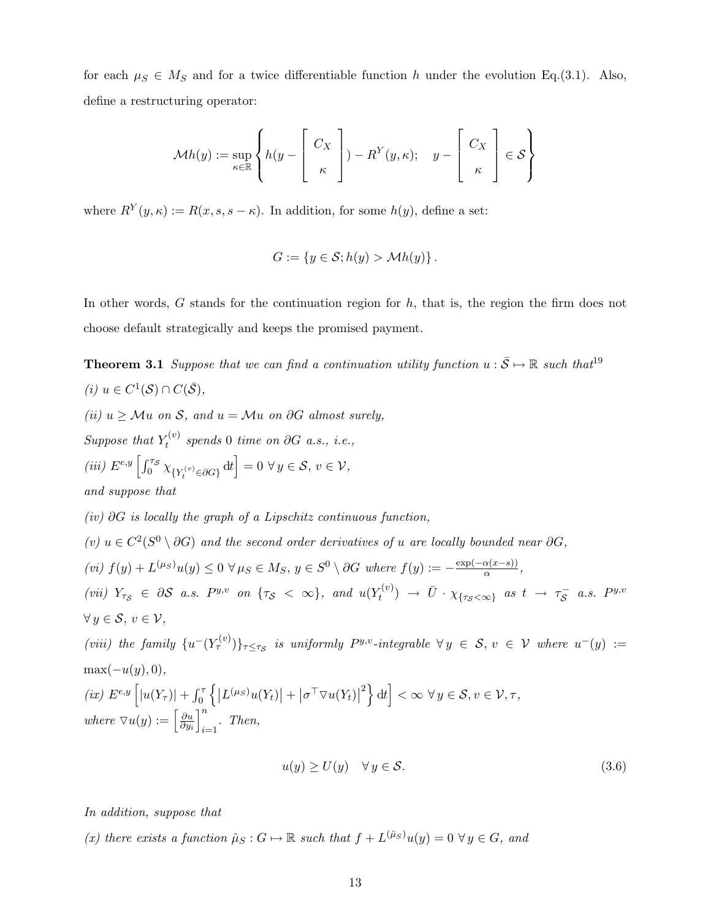for each  $\mu_S \in M_S$  and for a twice differentiable function h under the evolution Eq.(3.1). Also, define a restructuring operator:

$$
\mathcal{M}h(y) := \sup_{\kappa \in \mathbb{R}} \left\{ h(y - \begin{bmatrix} C_X \\ \kappa \end{bmatrix}) - R^Y(y, \kappa); \quad y - \begin{bmatrix} C_X \\ \kappa \end{bmatrix} \in \mathcal{S} \right\}
$$

where  $R^{Y}(y,\kappa) := R(x, s, s - \kappa)$ . In addition, for some  $h(y)$ , define a set:

$$
G := \{ y \in \mathcal{S}; h(y) > \mathcal{M}h(y) \}.
$$

In other words,  $G$  stands for the continuation region for  $h$ , that is, the region the firm does not choose default strategically and keeps the promised payment.

**Theorem 3.1** Suppose that we can find a continuation utility function  $u : \overline{S} \mapsto \mathbb{R}$  such that<sup>19</sup> (*i*)  $u \in C^1(\mathcal{S}) \cap C(\bar{\mathcal{S}})$ , (ii)  $u \geq \mathcal{M}u$  on S, and  $u = \mathcal{M}u$  on  $\partial G$  almost surely, Suppose that  $Y_t^{(v)}$  $t_t^{(v)}$  spends 0 time on ∂G a.s., i.e., (iii)  $E^{e,y}\left[\int_0^{\tau_S} \chi_{\{Y_t^{(v)} \in \partial G\}} dt\right] = 0 \,\forall y \in S, v \in V$ , and suppose that  $(iv)$  ∂G is locally the graph of a Lipschitz continuous function, (v)  $u \in C^2(S^0 \setminus \partial G)$  and the second order derivatives of u are locally bounded near  $\partial G$ , (vi)  $f(y) + L^{(\mu_S)}u(y) \leq 0 \ \forall \mu_S \in M_S, y \in S^0 \setminus \partial G$  where  $f(y) := -\frac{\exp(-\alpha(x-s))}{\alpha}$  $\frac{\alpha(x-s)}{\alpha},$ (vii)  $Y_{\tau_S} \in \partial S$  a.s.  $P^{y,v}$  on  $\{\tau_S \ < \ \infty\}$ , and  $u(Y_t^{(v)})$  $\bar{U}^{(v)}_t \rightarrow \bar{U} \cdot \chi_{\{\tau_{\mathcal{S}} < \infty\}}$  as  $t \rightarrow \tau_{\mathcal{S}}^ \overline{S}$  a.s.  $P^{y,v}$  $\forall y \in \mathcal{S}, v \in \mathcal{V},$ (viii) the family  $\{u^-(Y_\tau^{(v)})\}_{\tau\leq\tau_{\mathcal{S}}}$  is uniformly  $P^{y,v}$ -integrable  $\forall y \in \mathcal{S}, v \in \mathcal{V}$  where  $u^-(y) :=$  $\max(-u(y), 0),$ (ix)  $E^{e,y}\left[|u(Y_\tau)|+\int_0^\tau\left\{|L{}^{(\mu_S)}u(Y_t)|+|\sigma^\top \nabla u(Y_t)|\right\}$  $\{e^{2}\}\mathrm{d}t\Big| < \infty \ \forall y \in \mathcal{S}, v \in \mathcal{V}, \tau,$ where  $\nabla u(y) := \left[\frac{\partial u}{\partial y}\right]$  $\partial y_i$  $\mathcal{I}^n$  $\sum_{i=1}$ . Then,  $u(y) \ge U(y) \quad \forall y \in \mathcal{S}.$  (3.6)

In addition, suppose that

(x) there exists a function  $\hat{\mu}_S : G \mapsto \mathbb{R}$  such that  $f + L^{(\hat{\mu}_S)}u(y) = 0 \ \forall y \in G$ , and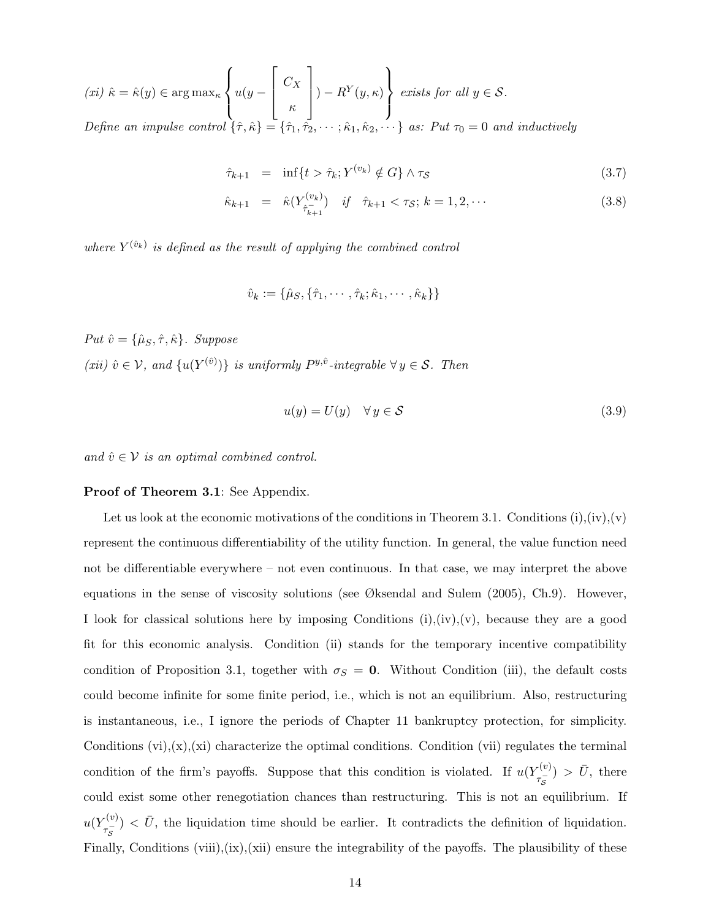$$
(xi) \hat{\kappa} = \hat{\kappa}(y) \in \arg \max_{\kappa} \left\{ u(y - \begin{bmatrix} C_X \\ \kappa \\ \kappa \end{bmatrix}) - R^Y(y, \kappa) \right\} \text{ exists for all } y \in \mathcal{S}.
$$
  
Define an impulse control  $\{\hat{\tau}, \hat{\kappa}\} = \{\hat{\tau}_1, \hat{\tau}_2, \dots; \hat{\kappa}_1, \hat{\kappa}_2, \dots\}$  as: Put  $\tau_0 = 0$  and inductively

$$
\hat{\tau}_{k+1} = \inf \{ t > \hat{\tau}_k; Y^{(v_k)} \notin G \} \wedge \tau_{\mathcal{S}} \tag{3.7}
$$

$$
\hat{\kappa}_{k+1} = \hat{\kappa}(Y_{\hat{\tau}_{k+1}}^{(v_k)}) \quad \text{if} \quad \hat{\tau}_{k+1} < \tau_{\mathcal{S}}; \ k = 1, 2, \cdots \tag{3.8}
$$

where  $Y^{(\hat{v}_k)}$  is defined as the result of applying the combined control

$$
\hat{v}_k := \{\hat{\mu}_S, \{\hat{\tau}_1, \cdots, \hat{\tau}_k; \hat{\kappa}_1, \cdots, \hat{\kappa}_k\}\}
$$

Put  $\hat{v} = \{\hat{\mu}_S, \hat{\tau}, \hat{\kappa}\}\$ . Suppose  $(xii) \hat{v} \in V$ , and  $\{u(Y^{(\hat{v})})\}$  is uniformly  $P^{y,\hat{v}}$ -integrable  $\forall y \in S$ . Then

$$
u(y) = U(y) \quad \forall \, y \in \mathcal{S} \tag{3.9}
$$

and  $\hat{v} \in \mathcal{V}$  is an optimal combined control.

#### Proof of Theorem 3.1: See Appendix.

Let us look at the economic motivations of the conditions in Theorem 3.1. Conditions  $(i), (iv), (v)$ represent the continuous differentiability of the utility function. In general, the value function need not be differentiable everywhere – not even continuous. In that case, we may interpret the above equations in the sense of viscosity solutions (see Øksendal and Sulem  $(2005)$ , Ch.9). However, I look for classical solutions here by imposing Conditions  $(i), (iv), (v)$ , because they are a good fit for this economic analysis. Condition (ii) stands for the temporary incentive compatibility condition of Proposition 3.1, together with  $\sigma_S = 0$ . Without Condition (iii), the default costs could become infinite for some finite period, i.e., which is not an equilibrium. Also, restructuring is instantaneous, i.e., I ignore the periods of Chapter 11 bankruptcy protection, for simplicity. Conditions  $(vi), (x), (xi)$  characterize the optimal conditions. Condition  $(vii)$  regulates the terminal condition of the firm's payoffs. Suppose that this condition is violated. If  $u(Y_{-}^{(v)})$  $(\tau_{\overline{S}}^{(v)}) > \bar{U}$ , there could exist some other renegotiation chances than restructuring. This is not an equilibrium. If  $u(Y_{-}^{(v)}$  $\tau_{\overline{S}}^{(v)}$   $\langle \overline{U}, \overline{U} \rangle$ , the liquidation time should be earlier. It contradicts the definition of liquidation. Finally, Conditions (viii),(ix),(xii) ensure the integrability of the payoffs. The plausibility of these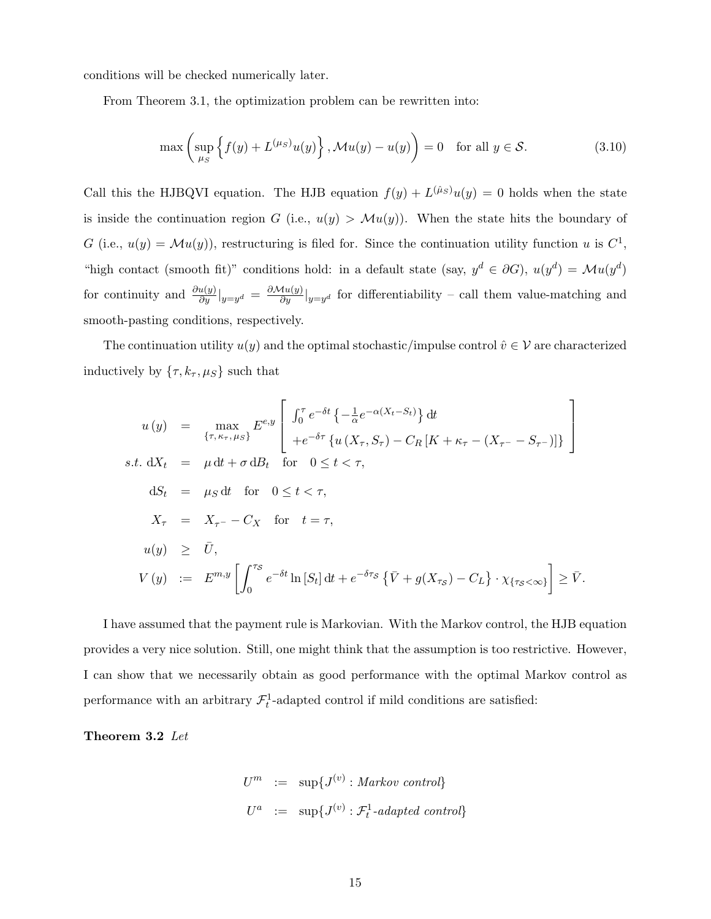conditions will be checked numerically later.

From Theorem 3.1, the optimization problem can be rewritten into:

$$
\max\left(\sup_{\mu_S} \left\{ f(y) + L^{(\mu_S)}u(y) \right\}, \mathcal{M}u(y) - u(y) \right) = 0 \quad \text{for all } y \in \mathcal{S}.
$$
 (3.10)

Call this the HJBQVI equation. The HJB equation  $f(y) + L^{(\hat{\mu}_S)}u(y) = 0$  holds when the state is inside the continuation region G (i.e.,  $u(y) > \mathcal{M}u(y)$ ). When the state hits the boundary of G (i.e.,  $u(y) = \mathcal{M}u(y)$ ), restructuring is filed for. Since the continuation utility function u is  $C^1$ , "high contact (smooth fit)" conditions hold: in a default state (say,  $y^d \in \partial G$ ),  $u(y^d) = \mathcal{M}u(y^d)$ for continuity and  $\frac{\partial u(y)}{\partial y}|_{y=y^d} = \frac{\partial M(u(y))}{\partial y}|_{y=y^d}$  for differentiability – call them value-matching and smooth-pasting conditions, respectively.

The continuation utility  $u(y)$  and the optimal stochastic/impulse control  $\hat{v} \in \mathcal{V}$  are characterized inductively by  $\{\tau, k_\tau, \mu_S\}$  such that

$$
u(y) = \max_{\{\tau, \kappa_{\tau}, \mu_{S}\}} E^{e,y} \left[ \int_0^{\tau} e^{-\delta t} \left\{ -\frac{1}{\alpha} e^{-\alpha (X_t - S_t)} \right\} dt \right]
$$
  
s.t.  $dX_t = \mu dt + \sigma dB_t$  for  $0 \le t < \tau$ ,  
 $dS_t = \mu_S dt$  for  $0 \le t < \tau$ ,  
 $X_{\tau} = X_{\tau} - C_X$  for  $t = \tau$ ,  
 $u(y) \ge \bar{U}$ ,  
 $V(y) := E^{m,y} \left[ \int_0^{\tau_S} e^{-\delta t} \ln [S_t] dt + e^{-\delta \tau_S} \left\{ \bar{V} + g(X_{\tau_S}) - C_L \right\} \cdot \chi_{\{\tau_S < \infty\}} \right] \ge \bar{V}$ .

I have assumed that the payment rule is Markovian. With the Markov control, the HJB equation provides a very nice solution. Still, one might think that the assumption is too restrictive. However, I can show that we necessarily obtain as good performance with the optimal Markov control as performance with an arbitrary  $\mathcal{F}_t^1$ -adapted control if mild conditions are satisfied:

Theorem 3.2 Let

$$
U^{m} := \sup \{ J^{(v)} : \text{Markov control} \}
$$
  

$$
U^{a} := \sup \{ J^{(v)} : \mathcal{F}_{t}^{1} \text{-adapted control} \}
$$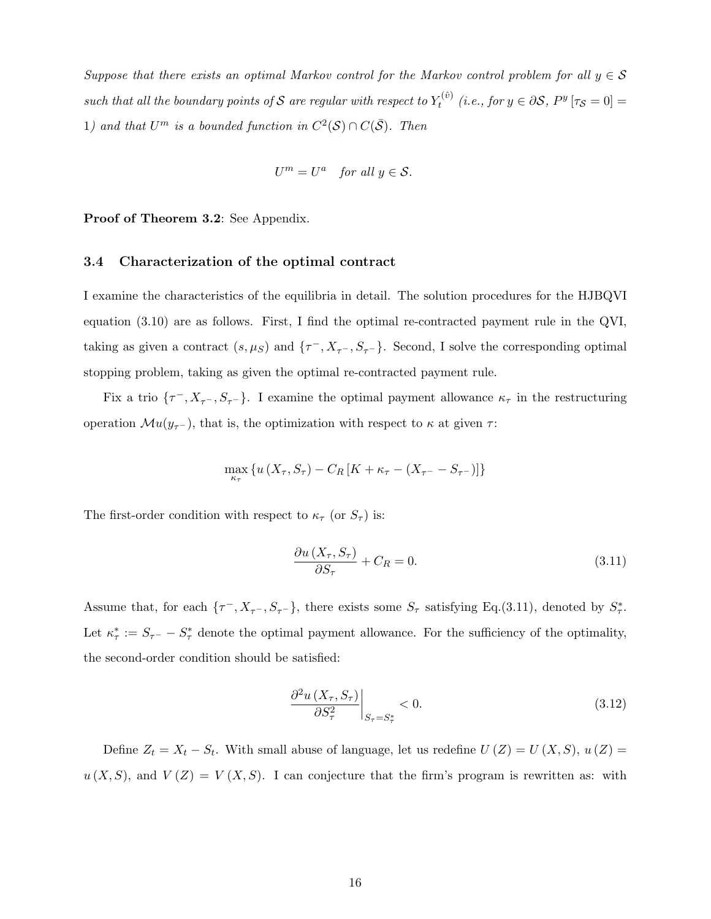Suppose that there exists an optimal Markov control for the Markov control problem for all  $y \in \mathcal{S}$ such that all the boundary points of S are regular with respect to  $Y_t^{(\hat{v})}$  $t_t^{(v)}$  (i.e., for  $y \in \partial S$ ,  $P^y[\tau_{\mathcal{S}}=0]=$ 1) and that  $U^m$  is a bounded function in  $C^2(\mathcal{S}) \cap C(\bar{\mathcal{S}})$ . Then

$$
U^m = U^a \quad \text{for all } y \in \mathcal{S}.
$$

Proof of Theorem 3.2: See Appendix.

#### 3.4 Characterization of the optimal contract

I examine the characteristics of the equilibria in detail. The solution procedures for the HJBQVI equation (3.10) are as follows. First, I find the optimal re-contracted payment rule in the QVI, taking as given a contract  $(s, \mu_S)$  and  $\{\tau^-, X_{\tau^-}, S_{\tau^-}\}\$ . Second, I solve the corresponding optimal stopping problem, taking as given the optimal re-contracted payment rule.

Fix a trio  $\{\tau^-, X_{\tau^-}, S_{\tau^-}\}\$ . I examine the optimal payment allowance  $\kappa_{\tau}$  in the restructuring operation  $\mathcal{M}u(y_{\tau-})$ , that is, the optimization with respect to  $\kappa$  at given  $\tau$ :

$$
\max_{\kappa_{\tau}} \left\{ u \left( X_{\tau}, S_{\tau} \right) - C_{R} \left[ K + \kappa_{\tau} - \left( X_{\tau^{-}} - S_{\tau^{-}} \right) \right] \right\}
$$

The first-order condition with respect to  $\kappa_{\tau}$  (or  $S_{\tau}$ ) is:

$$
\frac{\partial u\left(X_{\tau}, S_{\tau}\right)}{\partial S_{\tau}} + C_{R} = 0. \tag{3.11}
$$

Assume that, for each  $\{\tau^-, X_{\tau^-}, S_{\tau^-}\}$ , there exists some  $S_{\tau}$  satisfying Eq.(3.11), denoted by  $S_{\tau}^*$ . Let  $\kappa^*_{\tau} := S_{\tau^-} - S_{\tau}^*$  denote the optimal payment allowance. For the sufficiency of the optimality, the second-order condition should be satisfied:

$$
\left. \frac{\partial^2 u\left(X_\tau, S_\tau\right)}{\partial S_\tau^2} \right|_{S_\tau = S_\tau^*} < 0. \tag{3.12}
$$

Define  $Z_t = X_t - S_t$ . With small abuse of language, let us redefine  $U(Z) = U(X, S)$ ,  $u(Z) =$  $u(X, S)$ , and  $V(Z) = V(X, S)$ . I can conjecture that the firm's program is rewritten as: with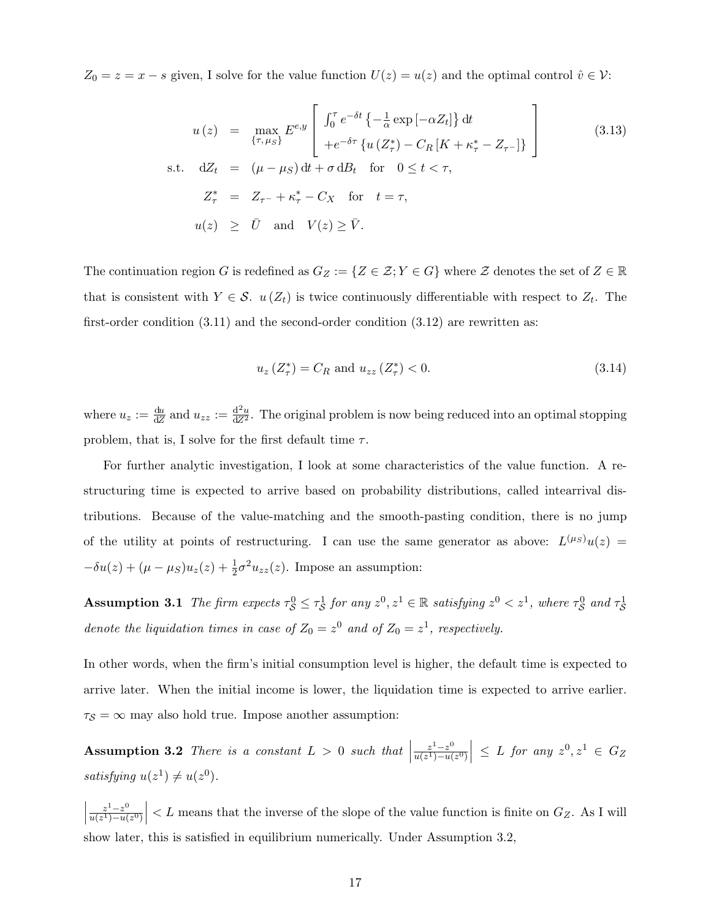$Z_0 = z = x - s$  given, I solve for the value function  $U(z) = u(z)$  and the optimal control  $\hat{v} \in \mathcal{V}$ :

$$
u(z) = \max_{\{\tau, \mu_S\}} E^{e,y} \left[ \int_0^{\tau} e^{-\delta t} \left\{ -\frac{1}{\alpha} \exp\left[-\alpha Z_t\right] \right\} dt \right]
$$
  
s.t. 
$$
dZ_t = (\mu - \mu_S) dt + \sigma dB_t \text{ for } 0 \le t < \tau,
$$

$$
Z_{\tau}^* = Z_{\tau^-} + \kappa_{\tau}^* - C_X \text{ for } t = \tau,
$$

$$
u(z) \ge \bar{U} \text{ and } V(z) \ge \bar{V}.
$$

$$
(3.13)
$$

The continuation region G is redefined as  $G_Z := \{Z \in \mathcal{Z}; Y \in G\}$  where  $\mathcal{Z}$  denotes the set of  $Z \in \mathbb{R}$ that is consistent with  $Y \in \mathcal{S}$ .  $u(Z_t)$  is twice continuously differentiable with respect to  $Z_t$ . The first-order condition  $(3.11)$  and the second-order condition  $(3.12)$  are rewritten as:

$$
u_z\left(Z^*_\tau\right) = C_R \text{ and } u_{zz}\left(Z^*_\tau\right) < 0. \tag{3.14}
$$

where  $u_z := \frac{du}{dZ}$  and  $u_{zz} := \frac{d^2u}{dZ^2}$ . The original problem is now being reduced into an optimal stopping problem, that is, I solve for the first default time  $\tau$ .

For further analytic investigation, I look at some characteristics of the value function. A restructuring time is expected to arrive based on probability distributions, called intearrival distributions. Because of the value-matching and the smooth-pasting condition, there is no jump of the utility at points of restructuring. I can use the same generator as above:  $L^{(\mu_S)}u(z)$  =  $-\delta u(z) + (\mu - \mu_S)u_z(z) + \frac{1}{2}\sigma^2 u_{zz}(z)$ . Impose an assumption:

Assumption 3.1 The firm expects  $\tau_S^0 \leq \tau_S^1$  for any  $z^0, z^1 \in \mathbb{R}$  satisfying  $z^0 < z^1$ , where  $\tau_S^0$  and  $\tau_S^1$ denote the liquidation times in case of  $Z_0 = z^0$  and of  $Z_0 = z^1$ , respectively.

In other words, when the firm's initial consumption level is higher, the default time is expected to arrive later. When the initial income is lower, the liquidation time is expected to arrive earlier.  $\tau_{\mathcal{S}} = \infty$  may also hold true. Impose another assumption:

Assumption 3.2 There is a constant  $L > 0$  such that  $z^1-z^0$  $u(z^1)-u(z^0)$  $\Big| \leq L$  for any  $z^0, z^1 \in G_Z$ satisfying  $u(z^1) \neq u(z^0)$ .

 $\begin{array}{c} \begin{array}{c} \begin{array}{c} \end{array} \\ \begin{array}{c} \end{array} \end{array} \end{array}$  $z^1-z^0$  $\overline{u(z^1)-u(z^0)}$  $\vert$  < L means that the inverse of the slope of the value function is finite on  $G_Z$ . As I will show later, this is satisfied in equilibrium numerically. Under Assumption 3.2,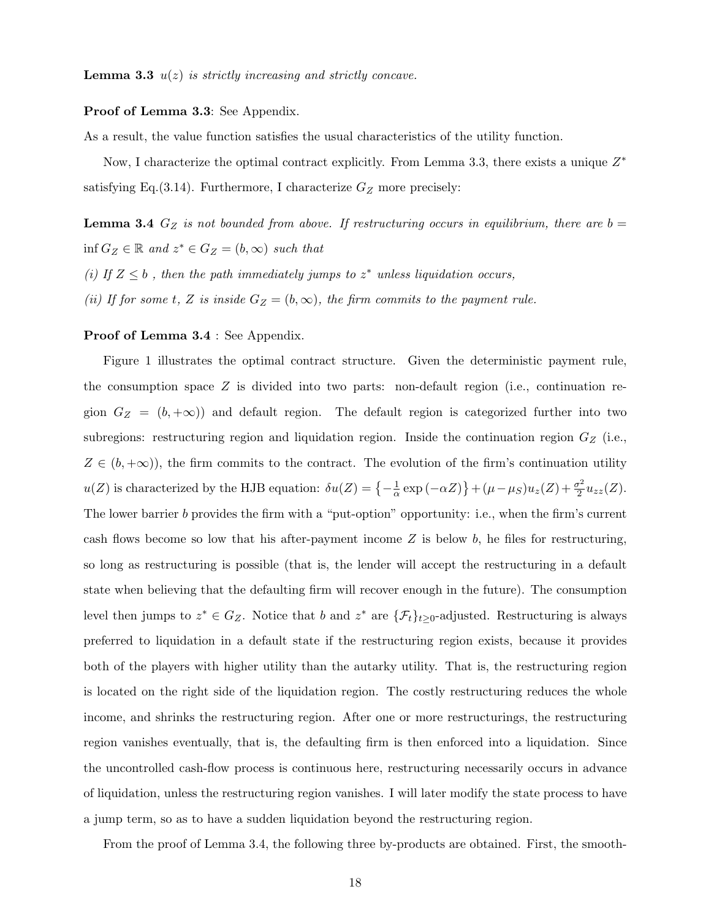**Lemma 3.3**  $u(z)$  is strictly increasing and strictly concave.

#### Proof of Lemma 3.3: See Appendix.

As a result, the value function satisfies the usual characteristics of the utility function.

Now, I characterize the optimal contract explicitly. From Lemma 3.3, there exists a unique  $Z^*$ satisfying Eq.(3.14). Furthermore, I characterize  $G_Z$  more precisely:

**Lemma 3.4**  $G_Z$  is not bounded from above. If restructuring occurs in equilibrium, there are  $b =$  $\inf G_Z \in \mathbb{R}$  and  $z^* \in G_Z = (b, \infty)$  such that (i) If  $Z \leq b$ , then the path immediately jumps to  $z^*$  unless liquidation occurs, (ii) If for some t, Z is inside  $G_Z = (b, \infty)$ , the firm commits to the payment rule.

#### Proof of Lemma 3.4 : See Appendix.

Figure 1 illustrates the optimal contract structure. Given the deterministic payment rule, the consumption space  $Z$  is divided into two parts: non-default region (i.e., continuation region  $G_Z = (b, +\infty)$  and default region. The default region is categorized further into two subregions: restructuring region and liquidation region. Inside the continuation region  $G_Z$  (i.e.,  $Z \in (b, +\infty)$ , the firm commits to the contract. The evolution of the firm's continuation utility  $u(Z)$  is characterized by the HJB equation:  $\delta u(Z) = \{-\frac{1}{2}$  $\frac{1}{\alpha} \exp(-\alpha Z) + (\mu - \mu_S)u_z(Z) + \frac{\sigma^2}{2}$  $\frac{\sigma^2}{2}u_{zz}(Z).$ The lower barrier b provides the firm with a "put-option" opportunity: i.e., when the firm's current cash flows become so low that his after-payment income  $Z$  is below  $b$ , he files for restructuring, so long as restructuring is possible (that is, the lender will accept the restructuring in a default state when believing that the defaulting firm will recover enough in the future). The consumption level then jumps to  $z^* \in G_Z$ . Notice that b and  $z^*$  are  $\{\mathcal{F}_t\}_{t\geq 0}$ -adjusted. Restructuring is always preferred to liquidation in a default state if the restructuring region exists, because it provides both of the players with higher utility than the autarky utility. That is, the restructuring region is located on the right side of the liquidation region. The costly restructuring reduces the whole income, and shrinks the restructuring region. After one or more restructurings, the restructuring region vanishes eventually, that is, the defaulting firm is then enforced into a liquidation. Since the uncontrolled cash-flow process is continuous here, restructuring necessarily occurs in advance of liquidation, unless the restructuring region vanishes. I will later modify the state process to have a jump term, so as to have a sudden liquidation beyond the restructuring region.

From the proof of Lemma 3.4, the following three by-products are obtained. First, the smooth-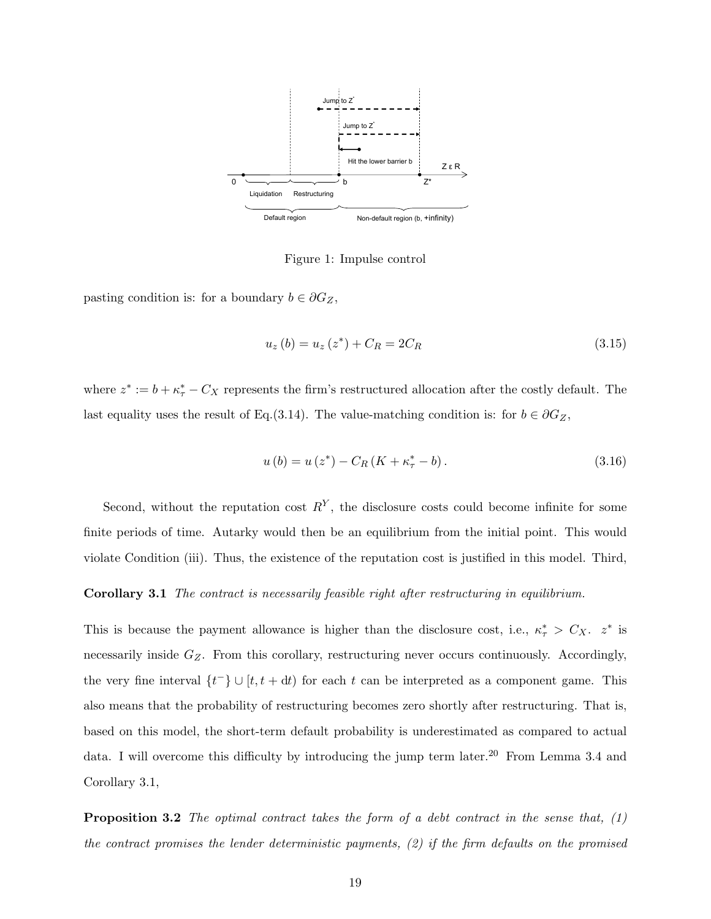

Figure 1: Impulse control

pasting condition is: for a boundary  $b \in \partial G_Z$ ,

$$
u_z(b) = u_z(z^*) + C_R = 2C_R
$$
\n(3.15)

where  $z^* := b + \kappa^*_{\tau} - C_X$  represents the firm's restructured allocation after the costly default. The last equality uses the result of Eq.(3.14). The value-matching condition is: for  $b \in \partial G_Z$ ,

$$
u(b) = u(z^*) - C_R(K + \kappa^* - b).
$$
\n(3.16)

Second, without the reputation cost  $R<sup>Y</sup>$ , the disclosure costs could become infinite for some finite periods of time. Autarky would then be an equilibrium from the initial point. This would violate Condition (iii). Thus, the existence of the reputation cost is justified in this model. Third,

#### Corollary 3.1 The contract is necessarily feasible right after restructuring in equilibrium.

This is because the payment allowance is higher than the disclosure cost, i.e.,  $\kappa^*$  >  $C_X$ .  $z^*$  is necessarily inside  $G_Z$ . From this corollary, restructuring never occurs continuously. Accordingly, the very fine interval  $\{t^-\} \cup [t, t+dt)$  for each t can be interpreted as a component game. This also means that the probability of restructuring becomes zero shortly after restructuring. That is, based on this model, the short-term default probability is underestimated as compared to actual data. I will overcome this difficulty by introducing the jump term later.<sup>20</sup> From Lemma 3.4 and Corollary 3.1,

Proposition 3.2 The optimal contract takes the form of a debt contract in the sense that, (1) the contract promises the lender deterministic payments, (2) if the firm defaults on the promised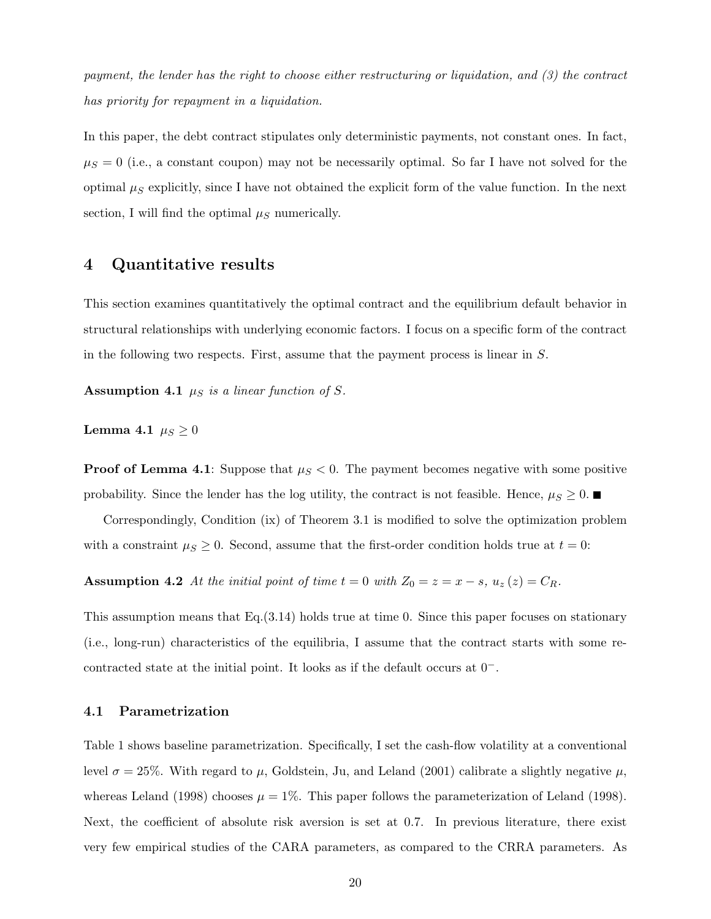payment, the lender has the right to choose either restructuring or liquidation, and (3) the contract has priority for repayment in a liquidation.

In this paper, the debt contract stipulates only deterministic payments, not constant ones. In fact,  $\mu_S = 0$  (i.e., a constant coupon) may not be necessarily optimal. So far I have not solved for the optimal  $\mu_S$  explicitly, since I have not obtained the explicit form of the value function. In the next section, I will find the optimal  $\mu_S$  numerically.

## 4 Quantitative results

This section examines quantitatively the optimal contract and the equilibrium default behavior in structural relationships with underlying economic factors. I focus on a specific form of the contract in the following two respects. First, assume that the payment process is linear in S.

Assumption 4.1  $\mu_S$  is a linear function of S.

Lemma 4.1  $\mu_S \geq 0$ 

**Proof of Lemma 4.1**: Suppose that  $\mu_S < 0$ . The payment becomes negative with some positive probability. Since the lender has the log utility, the contract is not feasible. Hence,  $\mu_S \geq 0$ .

Correspondingly, Condition (ix) of Theorem 3.1 is modified to solve the optimization problem with a constraint  $\mu_s \geq 0$ . Second, assume that the first-order condition holds true at  $t = 0$ :

Assumption 4.2 At the initial point of time  $t = 0$  with  $Z_0 = z = x - s$ ,  $u_z(z) = C_R$ .

This assumption means that Eq.(3.14) holds true at time 0. Since this paper focuses on stationary (i.e., long-run) characteristics of the equilibria, I assume that the contract starts with some recontracted state at the initial point. It looks as if the default occurs at 0−.

### 4.1 Parametrization

Table 1 shows baseline parametrization. Specifically, I set the cash-flow volatility at a conventional level  $\sigma = 25\%$ . With regard to  $\mu$ , Goldstein, Ju, and Leland (2001) calibrate a slightly negative  $\mu$ , whereas Leland (1998) chooses  $\mu = 1\%$ . This paper follows the parameterization of Leland (1998). Next, the coefficient of absolute risk aversion is set at 0.7. In previous literature, there exist very few empirical studies of the CARA parameters, as compared to the CRRA parameters. As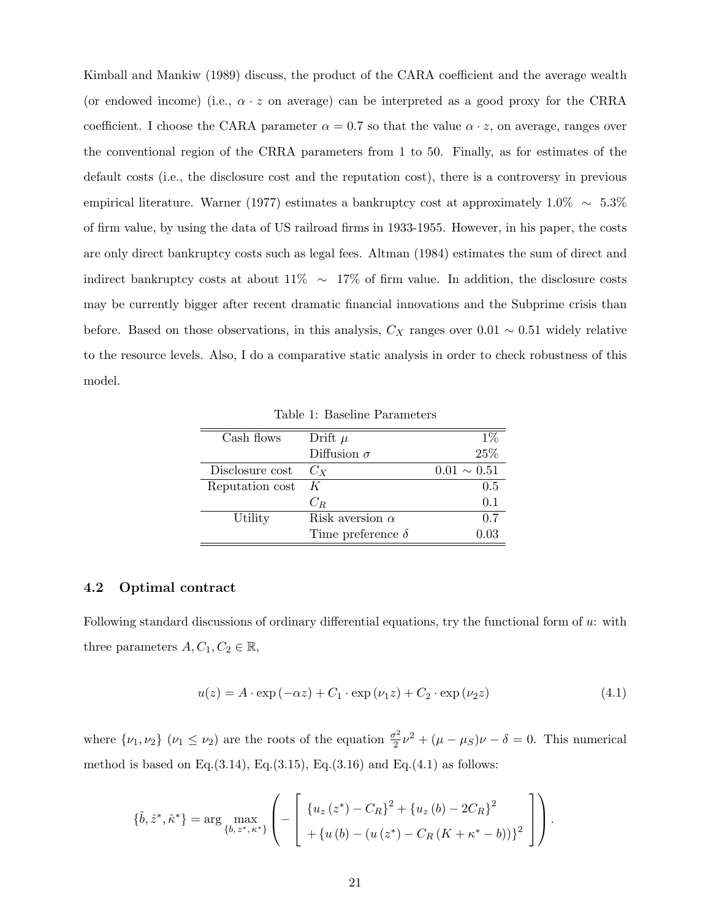Kimball and Mankiw (1989) discuss, the product of the CARA coefficient and the average wealth (or endowed income) (i.e.,  $\alpha \cdot z$  on average) can be interpreted as a good proxy for the CRRA coefficient. I choose the CARA parameter  $\alpha = 0.7$  so that the value  $\alpha \cdot z$ , on average, ranges over the conventional region of the CRRA parameters from 1 to 50. Finally, as for estimates of the default costs (i.e., the disclosure cost and the reputation cost), there is a controversy in previous empirical literature. Warner (1977) estimates a bankruptcy cost at approximately  $1.0\% \sim 5.3\%$ of firm value, by using the data of US railroad firms in 1933-1955. However, in his paper, the costs are only direct bankruptcy costs such as legal fees. Altman (1984) estimates the sum of direct and indirect bankruptcy costs at about 11% ∼ 17% of firm value. In addition, the disclosure costs may be currently bigger after recent dramatic financial innovations and the Subprime crisis than before. Based on those observations, in this analysis,  $C_X$  ranges over 0.01 ~ 0.51 widely relative to the resource levels. Also, I do a comparative static analysis in order to check robustness of this model.

Table 1: Baseline Parameters

| Cash flows      | Drift $\mu$              | $1\%$            |
|-----------------|--------------------------|------------------|
|                 | Diffusion $\sigma$       | 25%              |
| Disclosure cost | $C_{X}$                  | $0.01 \sim 0.51$ |
| Reputation cost | K                        | 0.5              |
|                 | $C_R$                    | 0.1              |
| Utility         | Risk aversion $\alpha$   | 0.7              |
|                 | Time preference $\delta$ | 0 03             |

#### 4.2 Optimal contract

Following standard discussions of ordinary differential equations, try the functional form of u: with three parameters  $A, C_1, C_2 \in \mathbb{R}$ ,

$$
u(z) = A \cdot \exp(-\alpha z) + C_1 \cdot \exp(\nu_1 z) + C_2 \cdot \exp(\nu_2 z)
$$
\n(4.1)

where  $\{\nu_1, \nu_2\}$   $(\nu_1 \leq \nu_2)$  are the roots of the equation  $\frac{\sigma^2}{2}$  $\frac{\partial^2}{\partial^2} \nu^2 + (\mu - \mu_S)\nu - \delta = 0$ . This numerical method is based on Eq.(3.14), Eq.(3.15), Eq.(3.16) and Eq.(4.1) as follows:

$$
\{\hat{b}, \hat{z}^*, \hat{\kappa}^*\} = \arg \max_{\{b, z^*, \kappa^*\}} \left( - \left[ \begin{array}{c} \{u_z(z^*) - C_R\}^2 + \{u_z(b) - 2C_R\}^2 \\ + \{u(b) - (u(z^*) - C_R(K + \kappa^* - b))\}^2 \end{array} \right] \right).
$$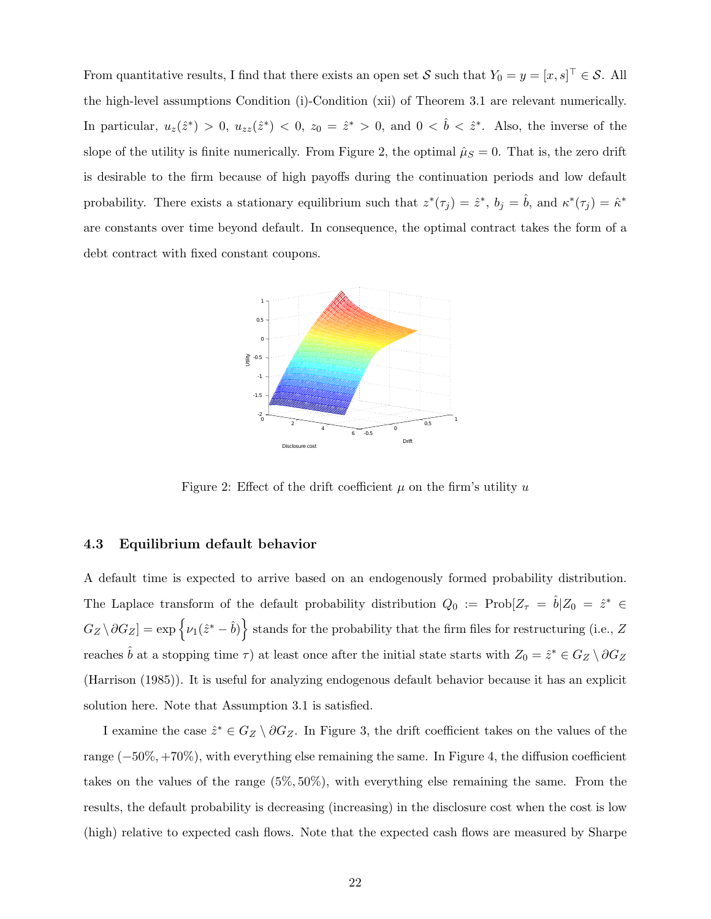From quantitative results, I find that there exists an open set S such that  $Y_0 = y = [x, s]^\top \in S$ . All the high-level assumptions Condition (i)-Condition (xii) of Theorem 3.1 are relevant numerically. In particular,  $u_z(\hat{z}^*) > 0$ ,  $u_{zz}(\hat{z}^*) < 0$ ,  $z_0 = \hat{z}^* > 0$ , and  $0 < \hat{b} < \hat{z}^*$ . Also, the inverse of the slope of the utility is finite numerically. From Figure 2, the optimal  $\hat{\mu}_S = 0$ . That is, the zero drift is desirable to the firm because of high payoffs during the continuation periods and low default probability. There exists a stationary equilibrium such that  $z^*(\tau_j) = \hat{z}^*, b_j = \hat{b}$ , and  $\kappa^*(\tau_j) = \hat{\kappa}^*$ are constants over time beyond default. In consequence, the optimal contract takes the form of a debt contract with fixed constant coupons.



Figure 2: Effect of the drift coefficient  $\mu$  on the firm's utility u

### 4.3 Equilibrium default behavior

A default time is expected to arrive based on an endogenously formed probability distribution. The Laplace transform of the default probability distribution  $Q_0 := \text{Prob}[Z_\tau = \hat{b}|Z_0 = \hat{z}^* \in$  $G_Z \setminus \partial G_Z] = \exp \{ \nu_1(\hat{z}^* - \hat{b}) \}$  stands for the probability that the firm files for restructuring (i.e., Z reaches  $\hat{b}$  at a stopping time  $\tau$ ) at least once after the initial state starts with  $Z_0 = \hat{z}^* \in G_Z \setminus \partial G_Z$ (Harrison (1985)). It is useful for analyzing endogenous default behavior because it has an explicit solution here. Note that Assumption 3.1 is satisfied.

I examine the case  $\hat{z}^* \in G_Z \setminus \partial G_Z$ . In Figure 3, the drift coefficient takes on the values of the range (−50%, +70%), with everything else remaining the same. In Figure 4, the diffusion coefficient takes on the values of the range (5%, 50%), with everything else remaining the same. From the results, the default probability is decreasing (increasing) in the disclosure cost when the cost is low (high) relative to expected cash flows. Note that the expected cash flows are measured by Sharpe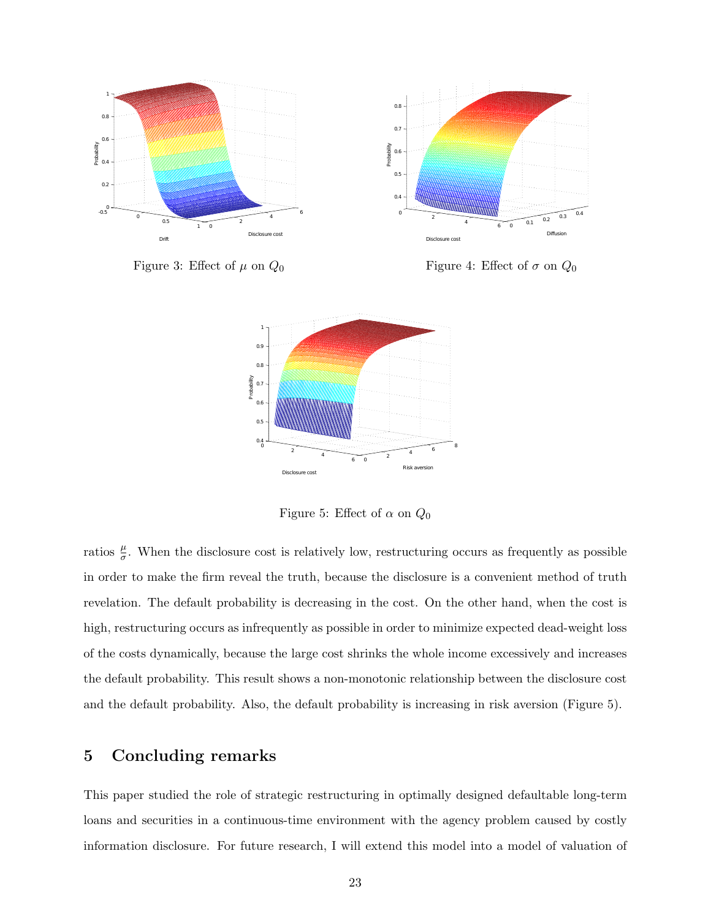

Figure 3: Effect of  $\mu$  on  $Q_0$ 

Figure 4: Effect of  $\sigma$  on  $Q_0$ 



Figure 5: Effect of  $\alpha$  on  $Q_0$ 

ratios  $\frac{\mu}{\sigma}$ . When the disclosure cost is relatively low, restructuring occurs as frequently as possible in order to make the firm reveal the truth, because the disclosure is a convenient method of truth revelation. The default probability is decreasing in the cost. On the other hand, when the cost is high, restructuring occurs as infrequently as possible in order to minimize expected dead-weight loss of the costs dynamically, because the large cost shrinks the whole income excessively and increases the default probability. This result shows a non-monotonic relationship between the disclosure cost and the default probability. Also, the default probability is increasing in risk aversion (Figure 5).

## 5 Concluding remarks

This paper studied the role of strategic restructuring in optimally designed defaultable long-term loans and securities in a continuous-time environment with the agency problem caused by costly information disclosure. For future research, I will extend this model into a model of valuation of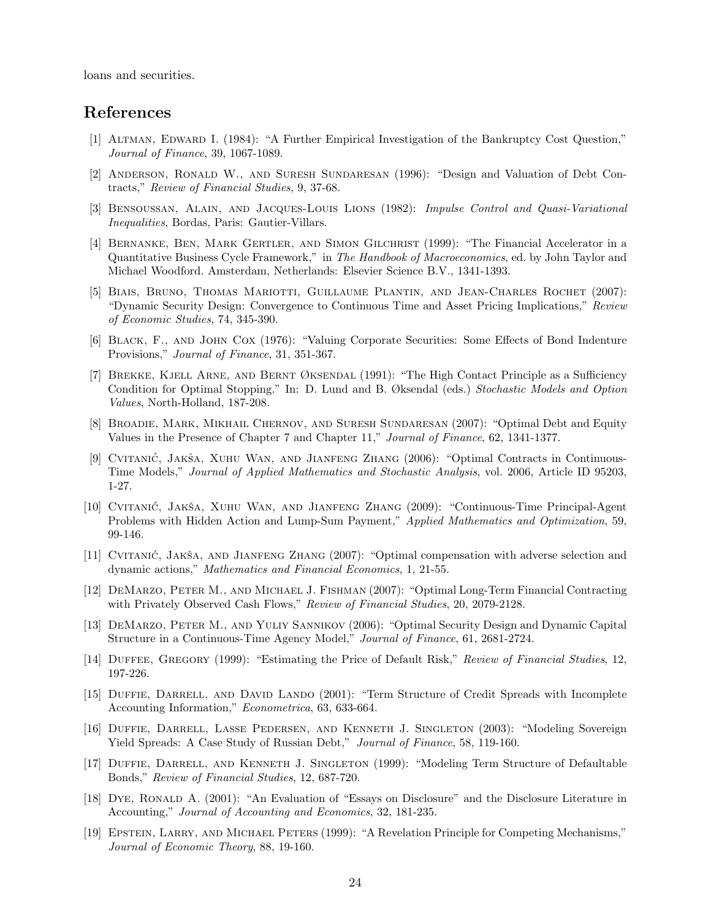loans and securities.

## References

- [1] Altman, Edward I. (1984): "A Further Empirical Investigation of the Bankruptcy Cost Question," Journal of Finance, 39, 1067-1089.
- [2] Anderson, Ronald W., and Suresh Sundaresan (1996): "Design and Valuation of Debt Contracts," Review of Financial Studies, 9, 37-68.
- [3] Bensoussan, Alain, and Jacques-Louis Lions (1982): Impulse Control and Quasi-Variational Inequalities, Bordas, Paris: Gautier-Villars.
- [4] Bernanke, Ben, Mark Gertler, and Simon Gilchrist (1999): "The Financial Accelerator in a Quantitative Business Cycle Framework," in The Handbook of Macroeconomics, ed. by John Taylor and Michael Woodford. Amsterdam, Netherlands: Elsevier Science B.V., 1341-1393.
- [5] BIAIS, BRUNO, THOMAS MARIOTTI, GUILLAUME PLANTIN, AND JEAN-CHARLES ROCHET (2007): "Dynamic Security Design: Convergence to Continuous Time and Asset Pricing Implications," Review of Economic Studies, 74, 345-390.
- [6] Black, F., and John Cox (1976): "Valuing Corporate Securities: Some Effects of Bond Indenture Provisions," Journal of Finance, 31, 351-367.
- [7] Brekke, Kjell Arne, and Bernt Øksendal (1991): "The High Contact Principle as a Sufficiency Condition for Optimal Stopping." In: D. Lund and B. Øksendal (eds.) Stochastic Models and Option Values, North-Holland, 187-208.
- [8] Broadie, Mark, Mikhail Chernov, and Suresh Sundaresan (2007): "Optimal Debt and Equity Values in the Presence of Chapter 7 and Chapter 11," Journal of Finance, 62, 1341-1377.
- [9] CVITANIĆ, JAKŠA, XUHU WAN, AND JIANFENG ZHANG (2006): "Optimal Contracts in Continuous-Time Models," Journal of Applied Mathematics and Stochastic Analysis, vol. 2006, Article ID 95203, 1-27.
- [10] CVITANIC, JAKŠA, XUHU WAN, AND JIANFENG ZHANG (2009): "Continuous-Time Principal-Agent Problems with Hidden Action and Lump-Sum Payment," Applied Mathematics and Optimization, 59, 99-146.
- [11] CVITANIĆ, JAKŠA, AND JIANFENG ZHANG (2007): "Optimal compensation with adverse selection and dynamic actions," Mathematics and Financial Economics, 1, 21-55.
- [12] DeMarzo, Peter M., and Michael J. Fishman (2007): "Optimal Long-Term Financial Contracting with Privately Observed Cash Flows," Review of Financial Studies, 20, 2079-2128.
- [13] DeMarzo, Peter M., and Yuliy Sannikov (2006): "Optimal Security Design and Dynamic Capital Structure in a Continuous-Time Agency Model," Journal of Finance, 61, 2681-2724.
- [14] Duffee, Gregory (1999): "Estimating the Price of Default Risk," Review of Financial Studies, 12, 197-226.
- [15] DUFFIE, DARRELL, AND DAVID LANDO (2001): "Term Structure of Credit Spreads with Incomplete Accounting Information," Econometrica, 63, 633-664.
- [16] Duffie, Darrell, Lasse Pedersen, and Kenneth J. Singleton (2003): "Modeling Sovereign Yield Spreads: A Case Study of Russian Debt," Journal of Finance, 58, 119-160.
- [17] DUFFIE, DARRELL, AND KENNETH J. SINGLETON (1999): "Modeling Term Structure of Defaultable Bonds," Review of Financial Studies, 12, 687-720.
- [18] Dye, Ronald A. (2001): "An Evaluation of "Essays on Disclosure" and the Disclosure Literature in Accounting," Journal of Accounting and Economics, 32, 181-235.
- [19] EPSTEIN, LARRY, AND MICHAEL PETERS (1999): "A Revelation Principle for Competing Mechanisms," Journal of Economic Theory, 88, 19-160.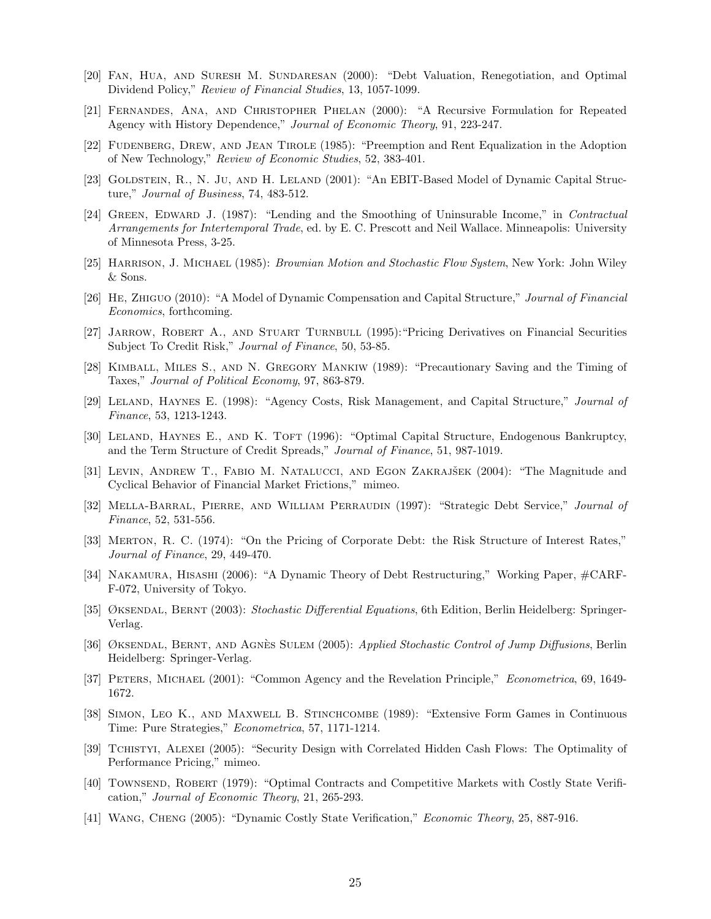- [20] Fan, Hua, and Suresh M. Sundaresan (2000): "Debt Valuation, Renegotiation, and Optimal Dividend Policy," Review of Financial Studies, 13, 1057-1099.
- [21] Fernandes, Ana, and Christopher Phelan (2000): "A Recursive Formulation for Repeated Agency with History Dependence," Journal of Economic Theory, 91, 223-247.
- [22] Fudenberg, Drew, and Jean Tirole (1985): "Preemption and Rent Equalization in the Adoption of New Technology," Review of Economic Studies, 52, 383-401.
- [23] GOLDSTEIN, R., N. JU, AND H. LELAND (2001): "An EBIT-Based Model of Dynamic Capital Structure," Journal of Business, 74, 483-512.
- [24] GREEN, EDWARD J. (1987): "Lending and the Smoothing of Uninsurable Income," in Contractual Arrangements for Intertemporal Trade, ed. by E. C. Prescott and Neil Wallace. Minneapolis: University of Minnesota Press, 3-25.
- [25] Harrison, J. Michael (1985): Brownian Motion and Stochastic Flow System, New York: John Wiley & Sons.
- [26] He, Zhiguo (2010): "A Model of Dynamic Compensation and Capital Structure," Journal of Financial Economics, forthcoming.
- [27] Jarrow, Robert A., and Stuart Turnbull (1995):"Pricing Derivatives on Financial Securities Subject To Credit Risk," Journal of Finance, 50, 53-85.
- [28] Kimball, Miles S., and N. Gregory Mankiw (1989): "Precautionary Saving and the Timing of Taxes," Journal of Political Economy, 97, 863-879.
- [29] Leland, Haynes E. (1998): "Agency Costs, Risk Management, and Capital Structure," Journal of Finance, 53, 1213-1243.
- [30] LELAND, HAYNES E., AND K. TOFT (1996): "Optimal Capital Structure, Endogenous Bankruptcy, and the Term Structure of Credit Spreads," Journal of Finance, 51, 987-1019.
- [31] LEVIN, ANDREW T., FABIO M. NATALUCCI, AND EGON ZAKRAJŠEK (2004): "The Magnitude and Cyclical Behavior of Financial Market Frictions," mimeo.
- [32] MELLA-BARRAL, PIERRE, AND WILLIAM PERRAUDIN (1997): "Strategic Debt Service," Journal of Finance, 52, 531-556.
- [33] Merton, R. C. (1974): "On the Pricing of Corporate Debt: the Risk Structure of Interest Rates," Journal of Finance, 29, 449-470.
- [34] Nakamura, Hisashi (2006): "A Dynamic Theory of Debt Restructuring," Working Paper, #CARF-F-072, University of Tokyo.
- [35] ØKSENDAL, BERNT (2003): Stochastic Differential Equations, 6th Edition, Berlin Heidelberg: Springer-Verlag.
- [36] ØKSENDAL, BERNT, AND AGNÈS SULEM (2005): Applied Stochastic Control of Jump Diffusions, Berlin Heidelberg: Springer-Verlag.
- [37] Peters, Michael (2001): "Common Agency and the Revelation Principle," Econometrica, 69, 1649- 1672.
- [38] Simon, Leo K., and Maxwell B. Stinchcombe (1989): "Extensive Form Games in Continuous Time: Pure Strategies," Econometrica, 57, 1171-1214.
- [39] Tchistyi, Alexei (2005): "Security Design with Correlated Hidden Cash Flows: The Optimality of Performance Pricing," mimeo.
- [40] Townsend, Robert (1979): "Optimal Contracts and Competitive Markets with Costly State Verification," Journal of Economic Theory, 21, 265-293.
- [41] Wang, Cheng (2005): "Dynamic Costly State Verification," Economic Theory, 25, 887-916.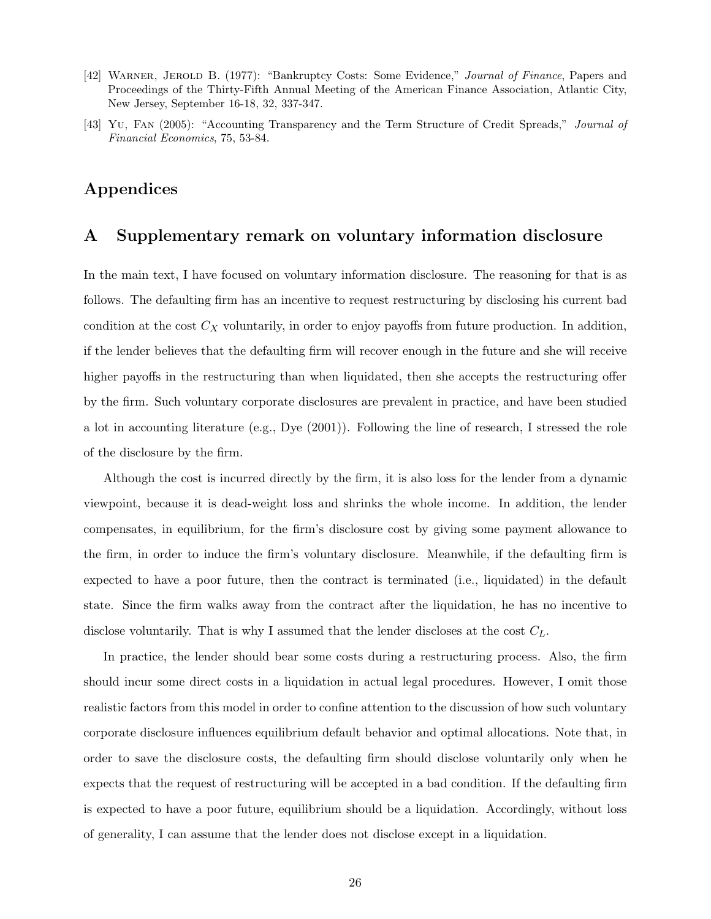- [42] Warner, Jerold B. (1977): "Bankruptcy Costs: Some Evidence," Journal of Finance, Papers and Proceedings of the Thirty-Fifth Annual Meeting of the American Finance Association, Atlantic City, New Jersey, September 16-18, 32, 337-347.
- [43] Yu, Fan (2005): "Accounting Transparency and the Term Structure of Credit Spreads," Journal of Financial Economics, 75, 53-84.

## Appendices

## A Supplementary remark on voluntary information disclosure

In the main text, I have focused on voluntary information disclosure. The reasoning for that is as follows. The defaulting firm has an incentive to request restructuring by disclosing his current bad condition at the cost  $C_X$  voluntarily, in order to enjoy payoffs from future production. In addition, if the lender believes that the defaulting firm will recover enough in the future and she will receive higher payoffs in the restructuring than when liquidated, then she accepts the restructuring offer by the firm. Such voluntary corporate disclosures are prevalent in practice, and have been studied a lot in accounting literature (e.g., Dye (2001)). Following the line of research, I stressed the role of the disclosure by the firm.

Although the cost is incurred directly by the firm, it is also loss for the lender from a dynamic viewpoint, because it is dead-weight loss and shrinks the whole income. In addition, the lender compensates, in equilibrium, for the firm's disclosure cost by giving some payment allowance to the firm, in order to induce the firm's voluntary disclosure. Meanwhile, if the defaulting firm is expected to have a poor future, then the contract is terminated (i.e., liquidated) in the default state. Since the firm walks away from the contract after the liquidation, he has no incentive to disclose voluntarily. That is why I assumed that the lender discloses at the cost  $C_L$ .

In practice, the lender should bear some costs during a restructuring process. Also, the firm should incur some direct costs in a liquidation in actual legal procedures. However, I omit those realistic factors from this model in order to confine attention to the discussion of how such voluntary corporate disclosure influences equilibrium default behavior and optimal allocations. Note that, in order to save the disclosure costs, the defaulting firm should disclose voluntarily only when he expects that the request of restructuring will be accepted in a bad condition. If the defaulting firm is expected to have a poor future, equilibrium should be a liquidation. Accordingly, without loss of generality, I can assume that the lender does not disclose except in a liquidation.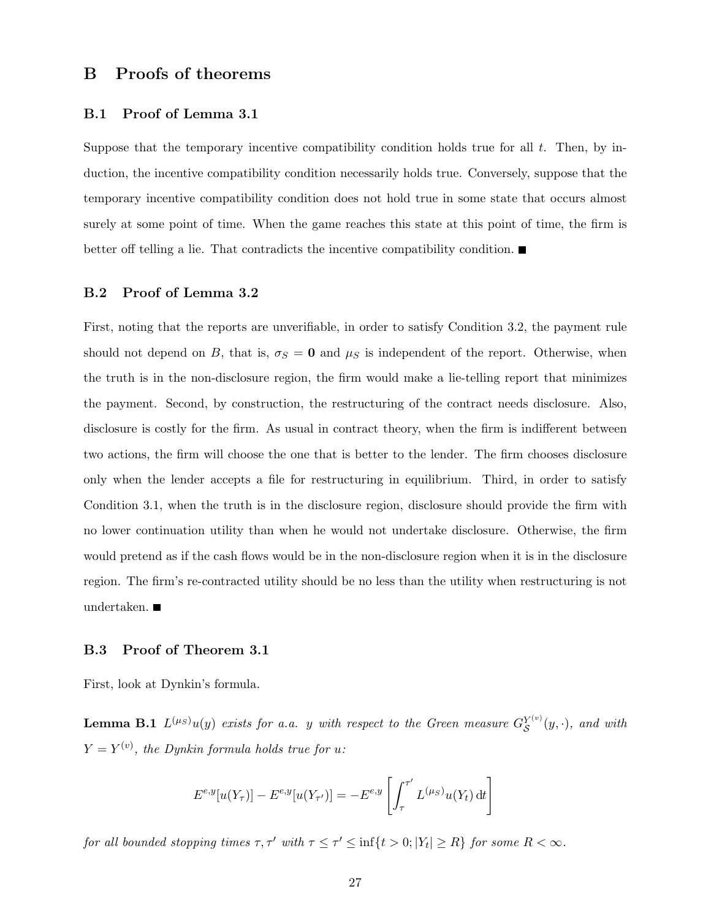## B Proofs of theorems

### B.1 Proof of Lemma 3.1

Suppose that the temporary incentive compatibility condition holds true for all t. Then, by induction, the incentive compatibility condition necessarily holds true. Conversely, suppose that the temporary incentive compatibility condition does not hold true in some state that occurs almost surely at some point of time. When the game reaches this state at this point of time, the firm is better off telling a lie. That contradicts the incentive compatibility condition.

### B.2 Proof of Lemma 3.2

First, noting that the reports are unverifiable, in order to satisfy Condition 3.2, the payment rule should not depend on B, that is,  $\sigma_S = 0$  and  $\mu_S$  is independent of the report. Otherwise, when the truth is in the non-disclosure region, the firm would make a lie-telling report that minimizes the payment. Second, by construction, the restructuring of the contract needs disclosure. Also, disclosure is costly for the firm. As usual in contract theory, when the firm is indifferent between two actions, the firm will choose the one that is better to the lender. The firm chooses disclosure only when the lender accepts a file for restructuring in equilibrium. Third, in order to satisfy Condition 3.1, when the truth is in the disclosure region, disclosure should provide the firm with no lower continuation utility than when he would not undertake disclosure. Otherwise, the firm would pretend as if the cash flows would be in the non-disclosure region when it is in the disclosure region. The firm's re-contracted utility should be no less than the utility when restructuring is not undertaken.

### B.3 Proof of Theorem 3.1

First, look at Dynkin's formula.

**Lemma B.1**  $L^{(\mu_S)}u(y)$  exists for a.a. y with respect to the Green measure  $G_S^{Y^{(v)}}$  $S^{Y^{(v)}}(y, \cdot)$ , and with  $Y = Y^{(v)}$ , the Dynkin formula holds true for u:

$$
E^{e,y}[u(Y_{\tau})] - E^{e,y}[u(Y_{\tau'})] = -E^{e,y}\left[\int_{\tau}^{\tau'} L^{(\mu_S)}u(Y_t) dt\right]
$$

for all bounded stopping times  $\tau, \tau'$  with  $\tau \leq \tau' \leq \inf\{t > 0; |Y_t| \geq R\}$  for some  $R < \infty$ .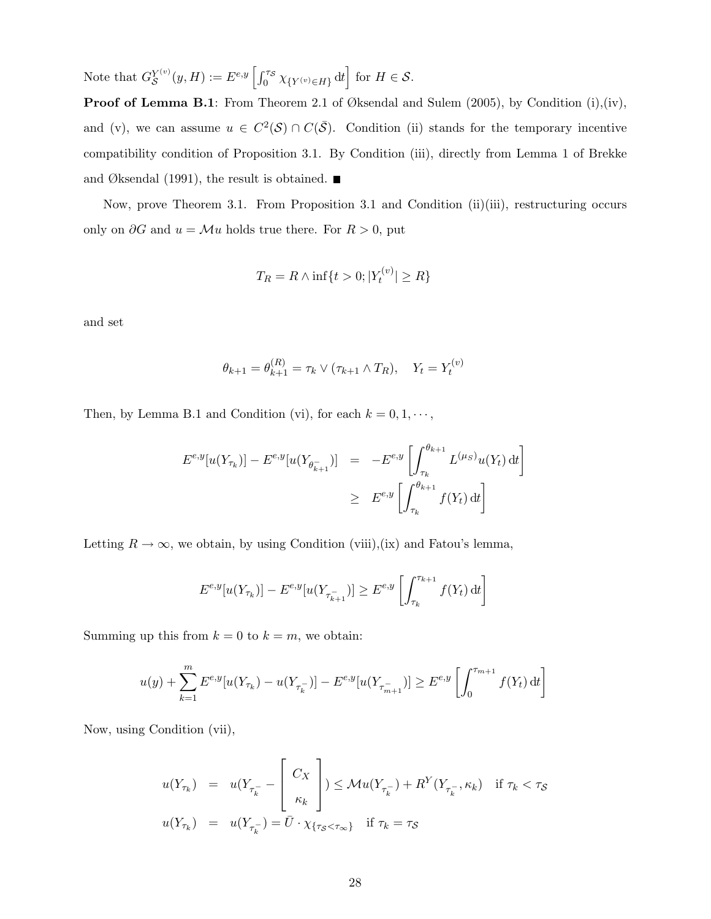Note that  $G_S^{Y(v)}$  $S^{Y^{(v)}}(y,H) := E^{e,y}\left[\int_0^{\tau_{\mathcal{S}}}\chi_{\{Y^{(v)}\in H\}}\,\mathrm{d} t\right] \text{ for } H\in\mathcal{S}.$ 

Proof of Lemma B.1: From Theorem 2.1 of Øksendal and Sulem (2005), by Condition (i),(iv), and (v), we can assume  $u \in C^2(\mathcal{S}) \cap C(\bar{\mathcal{S}})$ . Condition (ii) stands for the temporary incentive compatibility condition of Proposition 3.1. By Condition (iii), directly from Lemma 1 of Brekke and Øksendal (1991), the result is obtained.  $\blacksquare$ 

Now, prove Theorem 3.1. From Proposition 3.1 and Condition (ii)(iii), restructuring occurs only on  $\partial G$  and  $u = \mathcal{M}u$  holds true there. For  $R > 0$ , put

$$
T_R = R \wedge \inf\{t > 0; |Y_t^{(v)}| \ge R\}
$$

and set

$$
\theta_{k+1} = \theta_{k+1}^{(R)} = \tau_k \vee (\tau_{k+1} \wedge T_R), \quad Y_t = Y_t^{(v)}
$$

Then, by Lemma B.1 and Condition (vi), for each  $k = 0, 1, \dots$ ,

$$
E^{e,y}[u(Y_{\tau_k})] - E^{e,y}[u(Y_{\theta_{k+1}^-})] = -E^{e,y}\left[\int_{\tau_k}^{\theta_{k+1}} L^{(\mu_S)}u(Y_t) dt\right]
$$
  

$$
\geq E^{e,y}\left[\int_{\tau_k}^{\theta_{k+1}} f(Y_t) dt\right]
$$

Letting  $R \to \infty$ , we obtain, by using Condition (viii),(ix) and Fatou's lemma,

$$
E^{e,y}[u(Y_{\tau_k})] - E^{e,y}[u(Y_{\tau_{k+1}^-})] \ge E^{e,y}\left[\int_{\tau_k}^{\tau_{k+1}} f(Y_t) dt\right]
$$

Summing up this from  $k = 0$  to  $k = m$ , we obtain:

$$
u(y) + \sum_{k=1}^{m} E^{e,y}[u(Y_{\tau_k}) - u(Y_{\tau_k^-})] - E^{e,y}[u(Y_{\tau_{m+1}^-})] \ge E^{e,y}\left[\int_0^{\tau_{m+1}} f(Y_t) dt\right]
$$

Now, using Condition (vii),

$$
u(Y_{\tau_k}) = u(Y_{\tau_k^-} - \begin{bmatrix} C_X \\ \kappa_k \end{bmatrix}) \leq \mathcal{M}u(Y_{\tau_k^-}) + R^Y(Y_{\tau_k^-}, \kappa_k) \quad \text{if } \tau_k < \tau_S
$$
  

$$
u(Y_{\tau_k}) = u(Y_{\tau_k^-}) = \bar{U} \cdot \chi_{\{\tau_S < \tau_\infty\}} \quad \text{if } \tau_k = \tau_S
$$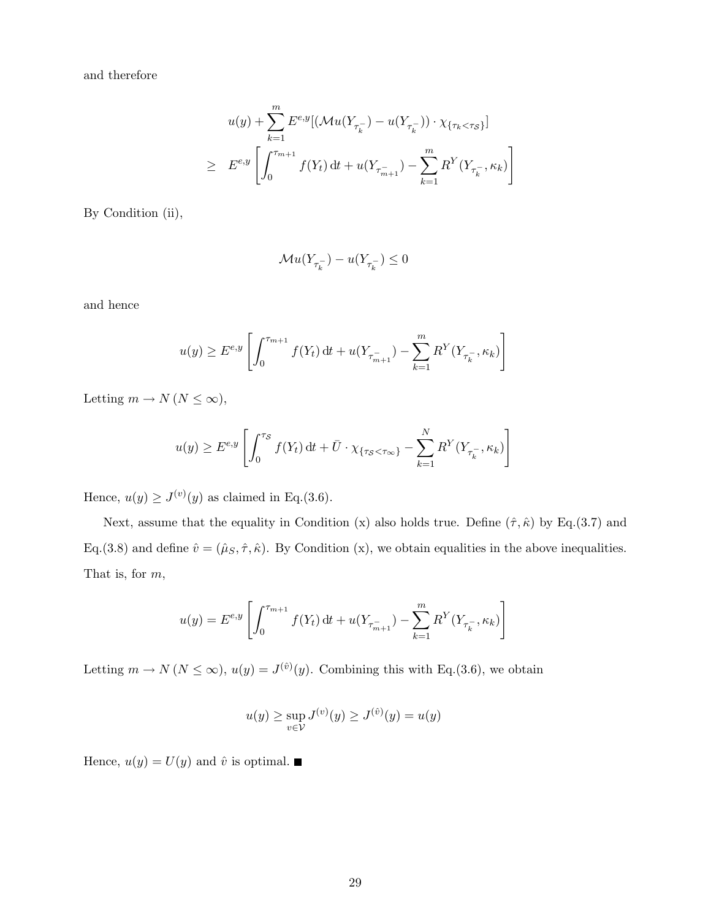and therefore

$$
u(y) + \sum_{k=1}^{m} E^{e,y} [(\mathcal{M}u(Y_{\tau_k^-}) - u(Y_{\tau_k^-})) \cdot \chi_{\{\tau_k < \tau_s\}}]
$$
\n
$$
\geq E^{e,y} \left[ \int_0^{\tau_{m+1}} f(Y_t) \, \mathrm{d}t + u(Y_{\tau_{m+1}^-}) - \sum_{k=1}^m R^Y(Y_{\tau_k^-}, \kappa_k) \right]
$$

By Condition (ii),

$$
\mathcal{M}u(Y_{\tau_k^-})-u(Y_{\tau_k^-})\leq 0
$$

and hence

$$
u(y) \ge E^{e,y} \left[ \int_0^{\tau_{m+1}} f(Y_t) dt + u(Y_{\tau_{m+1}^-}) - \sum_{k=1}^m R^Y(Y_{\tau_k^-}, \kappa_k) \right]
$$

Letting  $m \to N (N \leq \infty)$ ,

$$
u(y) \ge E^{e,y} \left[ \int_0^{\tau_S} f(Y_t) dt + \overline{U} \cdot \chi_{\{\tau_S < \tau_\infty\}} - \sum_{k=1}^N R^Y(Y_{\tau_k^-}, \kappa_k) \right]
$$

Hence,  $u(y) \geq J^{(v)}(y)$  as claimed in Eq.(3.6).

Next, assume that the equality in Condition (x) also holds true. Define  $(\hat{\tau}, \hat{\kappa})$  by Eq.(3.7) and Eq.(3.8) and define  $\hat{v} = (\hat{\mu}_S, \hat{\tau}, \hat{\kappa})$ . By Condition (x), we obtain equalities in the above inequalities. That is, for m,

$$
u(y) = E^{e,y}\left[\int_0^{\tau_{m+1}} f(Y_t) dt + u(Y_{\tau_{m+1}^-}) - \sum_{k=1}^m R^Y(Y_{\tau_k^-}, \kappa_k)\right]
$$

Letting  $m \to N(N \leq \infty)$ ,  $u(y) = J^{(\hat{v})}(y)$ . Combining this with Eq.(3.6), we obtain

$$
u(y) \ge \sup_{v \in V} J^{(v)}(y) \ge J^{(\hat{v})}(y) = u(y)
$$

Hence,  $u(y)=U(y)$  and  $\hat{v}$  is optimal.  $\blacksquare$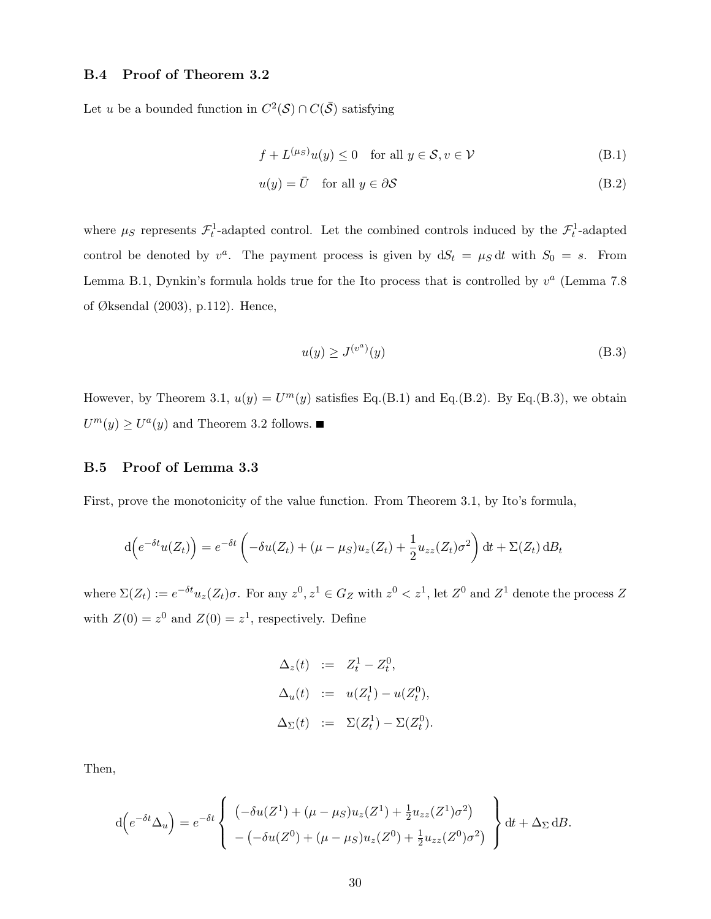### B.4 Proof of Theorem 3.2

Let u be a bounded function in  $C^2(S) \cap C(\overline{S})$  satisfying

$$
f + L^{(\mu_S)}u(y) \le 0 \quad \text{for all } y \in \mathcal{S}, v \in \mathcal{V}
$$
 (B.1)

$$
u(y) = \bar{U} \quad \text{for all } y \in \partial S \tag{B.2}
$$

where  $\mu_S$  represents  $\mathcal{F}_t^1$ -adapted control. Let the combined controls induced by the  $\mathcal{F}_t^1$ -adapted control be denoted by  $v^a$ . The payment process is given by  $dS_t = \mu_S dt$  with  $S_0 = s$ . From Lemma B.1, Dynkin's formula holds true for the Ito process that is controlled by  $v^a$  (Lemma 7.8) of Øksendal (2003), p.112). Hence,

$$
u(y) \ge J^{(v^a)}(y) \tag{B.3}
$$

However, by Theorem 3.1,  $u(y) = U^m(y)$  satisfies Eq.(B.1) and Eq.(B.2). By Eq.(B.3), we obtain  $U^m(y) \geq U^a(y)$  and Theorem 3.2 follows.

### B.5 Proof of Lemma 3.3

First, prove the monotonicity of the value function. From Theorem 3.1, by Ito's formula,

$$
d\left(e^{-\delta t}u(Z_t)\right) = e^{-\delta t}\left(-\delta u(Z_t) + (\mu - \mu_S)u_z(Z_t) + \frac{1}{2}u_{zz}(Z_t)\sigma^2\right)dt + \Sigma(Z_t) dB_t
$$

where  $\Sigma(Z_t) := e^{-\delta t} u_z(Z_t) \sigma$ . For any  $z^0, z^1 \in G_Z$  with  $z^0 < z^1$ , let  $Z^0$  and  $Z^1$  denote the process Z with  $Z(0) = z^0$  and  $Z(0) = z^1$ , respectively. Define

$$
\Delta_z(t) := Z_t^1 - Z_t^0,
$$
  
\n
$$
\Delta_u(t) := u(Z_t^1) - u(Z_t^0),
$$
  
\n
$$
\Delta_{\Sigma}(t) := \Sigma(Z_t^1) - \Sigma(Z_t^0).
$$

Then,

$$
d(e^{-\delta t}\Delta_u) = e^{-\delta t} \left\{ \begin{array}{l} (-\delta u(Z^1) + (\mu - \mu_S)u_z(Z^1) + \frac{1}{2}u_{zz}(Z^1)\sigma^2) \\ -(-\delta u(Z^0) + (\mu - \mu_S)u_z(Z^0) + \frac{1}{2}u_{zz}(Z^0)\sigma^2) \end{array} \right\} dt + \Delta_{\Sigma} dB.
$$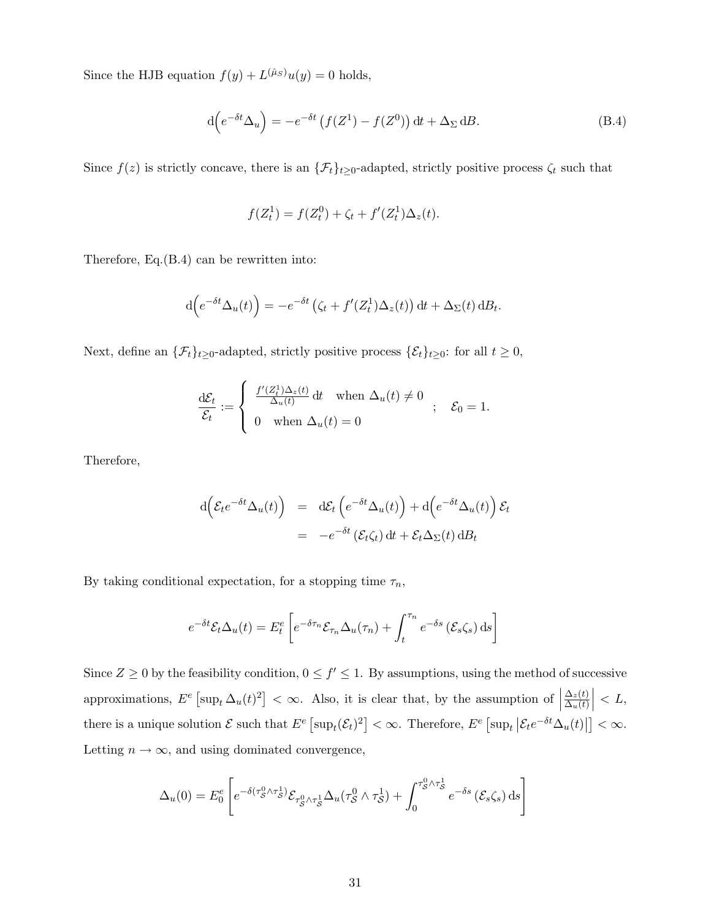Since the HJB equation  $f(y) + L^{(\hat{\mu}_S)}u(y) = 0$  holds,

$$
d\left(e^{-\delta t}\Delta_u\right) = -e^{-\delta t}\left(f(Z^1) - f(Z^0)\right)dt + \Delta_\Sigma dB.
$$
 (B.4)

Since  $f(z)$  is strictly concave, there is an  $\{\mathcal{F}_t\}_{t\geq 0}$ -adapted, strictly positive process  $\zeta_t$  such that

$$
f(Z_t^1) = f(Z_t^0) + \zeta_t + f'(Z_t^1)\Delta_z(t).
$$

Therefore, Eq.(B.4) can be rewritten into:

$$
d\left(e^{-\delta t}\Delta_u(t)\right) = -e^{-\delta t}\left(\zeta_t + f'(Z_t^1)\Delta_z(t)\right)dt + \Delta_\Sigma(t) dB_t.
$$

Next, define an  $\{\mathcal{F}_t\}_{t\geq 0}$ -adapted, strictly positive process  $\{\mathcal{E}_t\}_{t\geq 0}$ : for all  $t \geq 0$ ,

$$
\frac{\mathrm{d}\mathcal{E}_t}{\mathcal{E}_t} := \begin{cases} \frac{f'(Z_t^1)\Delta_z(t)}{\Delta_u(t)} \,\mathrm{d}t & \text{when } \Delta_u(t) \neq 0 \\ 0 & \text{when } \Delta_u(t) = 0 \end{cases} ; \quad \mathcal{E}_0 = 1.
$$

Therefore,

$$
d\left(\mathcal{E}_t e^{-\delta t} \Delta_u(t)\right) = d\mathcal{E}_t \left(e^{-\delta t} \Delta_u(t)\right) + d\left(e^{-\delta t} \Delta_u(t)\right) \mathcal{E}_t
$$
  
= 
$$
-e^{-\delta t} \left(\mathcal{E}_t \zeta_t\right) dt + \mathcal{E}_t \Delta_\Sigma(t) dB_t
$$

By taking conditional expectation, for a stopping time  $\tau_n$ ,

$$
e^{-\delta t} \mathcal{E}_t \Delta_u(t) = E_t^e \left[ e^{-\delta \tau_n} \mathcal{E}_{\tau_n} \Delta_u(\tau_n) + \int_t^{\tau_n} e^{-\delta s} \left( \mathcal{E}_s \zeta_s \right) ds \right]
$$

Since  $Z \geq 0$  by the feasibility condition,  $0 \leq f' \leq 1$ . By assumptions, using the method of successive approximations,  $E^e$  [sup<sub>t</sub>  $\Delta_u(t)^2$ ] < ∞. Also, it is clear that, by the assumption of |  $\Delta_z(t)$  $\Delta_u(t)$  $\Big| < L,$ there is a unique solution  $\mathcal E$  such that  $E^e$   $\left[\sup_t(\mathcal E_t)^2\right]<\infty$ . Therefore,  $E^e$   $\left[\sup_t\left|\mathcal E_te^{-\delta t}\Delta_u(t)\right|\right]<\infty$ . Letting  $n \to \infty$ , and using dominated convergence,

$$
\Delta_u(0) = E_0^e \left[ e^{-\delta(\tau_S^0 \wedge \tau_S^1)} \mathcal{E}_{\tau_S^0 \wedge \tau_S^1} \Delta_u(\tau_S^0 \wedge \tau_S^1) + \int_0^{\tau_S^0 \wedge \tau_S^1} e^{-\delta s} (\mathcal{E}_s \zeta_s) ds \right]
$$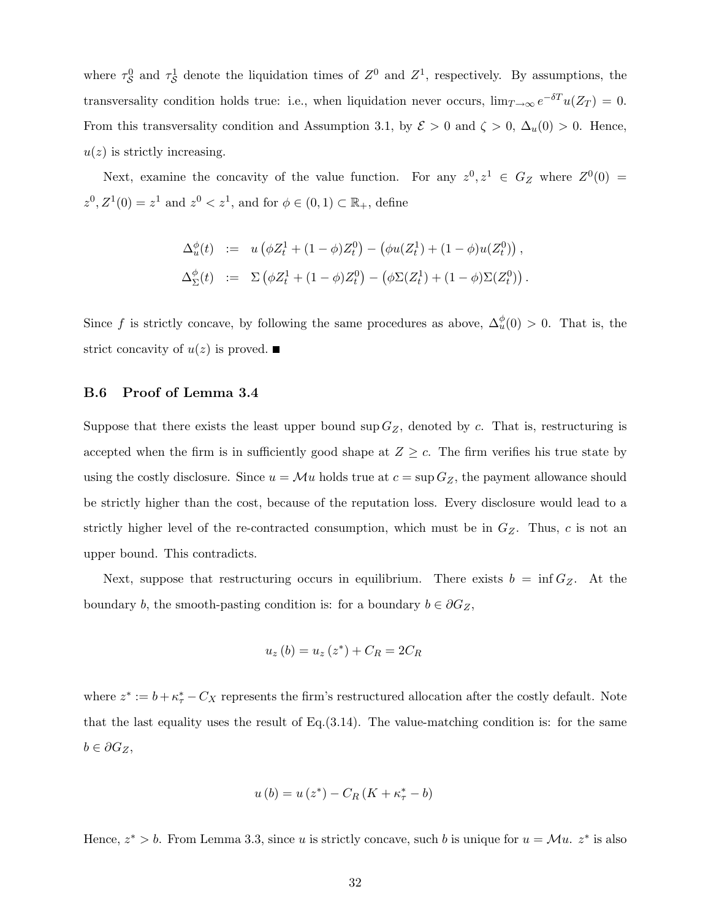where  $\tau_S^0$  and  $\tau_S^1$  denote the liquidation times of  $Z^0$  and  $Z^1$ , respectively. By assumptions, the transversality condition holds true: i.e., when liquidation never occurs,  $\lim_{T\to\infty} e^{-\delta T}u(Z_T) = 0$ . From this transversality condition and Assumption 3.1, by  $\mathcal{E} > 0$  and  $\zeta > 0$ ,  $\Delta_u(0) > 0$ . Hence,  $u(z)$  is strictly increasing.

Next, examine the concavity of the value function. For any  $z^0, z^1 \in G_Z$  where  $Z^0(0) =$  $z^0, Z^1(0) = z^1$  and  $z^0 < z^1$ , and for  $\phi \in (0, 1) \subset \mathbb{R}_+$ , define

$$
\Delta_u^{\phi}(t) := u \left( \phi Z_t^1 + (1 - \phi) Z_t^0 \right) - \left( \phi u(Z_t^1) + (1 - \phi) u(Z_t^0) \right),
$$
  

$$
\Delta_{\Sigma}^{\phi}(t) := \Sigma \left( \phi Z_t^1 + (1 - \phi) Z_t^0 \right) - \left( \phi \Sigma (Z_t^1) + (1 - \phi) \Sigma (Z_t^0) \right).
$$

Since f is strictly concave, by following the same procedures as above,  $\Delta_u^{\phi}(0) > 0$ . That is, the strict concavity of  $u(z)$  is proved.

### B.6 Proof of Lemma 3.4

Suppose that there exists the least upper bound  $\sup G_Z$ , denoted by c. That is, restructuring is accepted when the firm is in sufficiently good shape at  $Z \geq c$ . The firm verifies his true state by using the costly disclosure. Since  $u = \mathcal{M}u$  holds true at  $c = \sup G_Z$ , the payment allowance should be strictly higher than the cost, because of the reputation loss. Every disclosure would lead to a strictly higher level of the re-contracted consumption, which must be in  $G_Z$ . Thus, c is not an upper bound. This contradicts.

Next, suppose that restructuring occurs in equilibrium. There exists  $b = \inf G_Z$ . At the boundary b, the smooth-pasting condition is: for a boundary  $b \in \partial G_Z$ ,

$$
u_z(b) = u_z(z^*) + C_R = 2C_R
$$

where  $z^* := b + \kappa^*_{\tau} - C_X$  represents the firm's restructured allocation after the costly default. Note that the last equality uses the result of  $Eq.(3.14)$ . The value-matching condition is: for the same  $b \in \partial G_Z$ ,

$$
u\left(b\right) = u\left(z^*\right) - C_R\left(K + \kappa^*_{\tau} - b\right)
$$

Hence,  $z^* > b$ . From Lemma 3.3, since u is strictly concave, such b is unique for  $u = \mathcal{M}u$ .  $z^*$  is also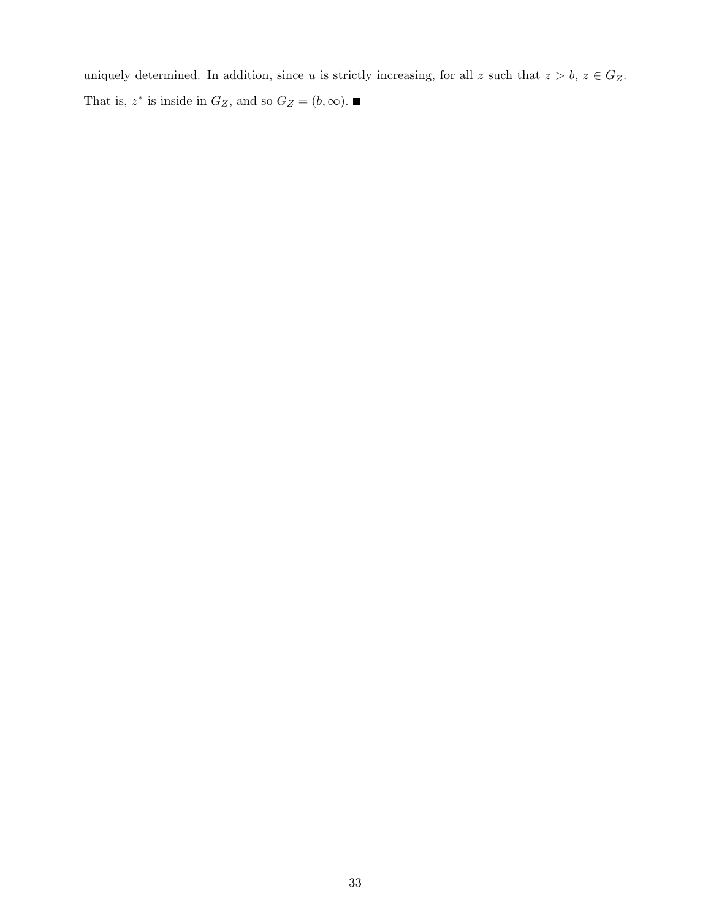uniquely determined. In addition, since u is strictly increasing, for all z such that  $z > b$ ,  $z \in G_Z$ . That is,  $z^*$  is inside in  $G_Z$ , and so  $G_Z = (b, \infty)$ .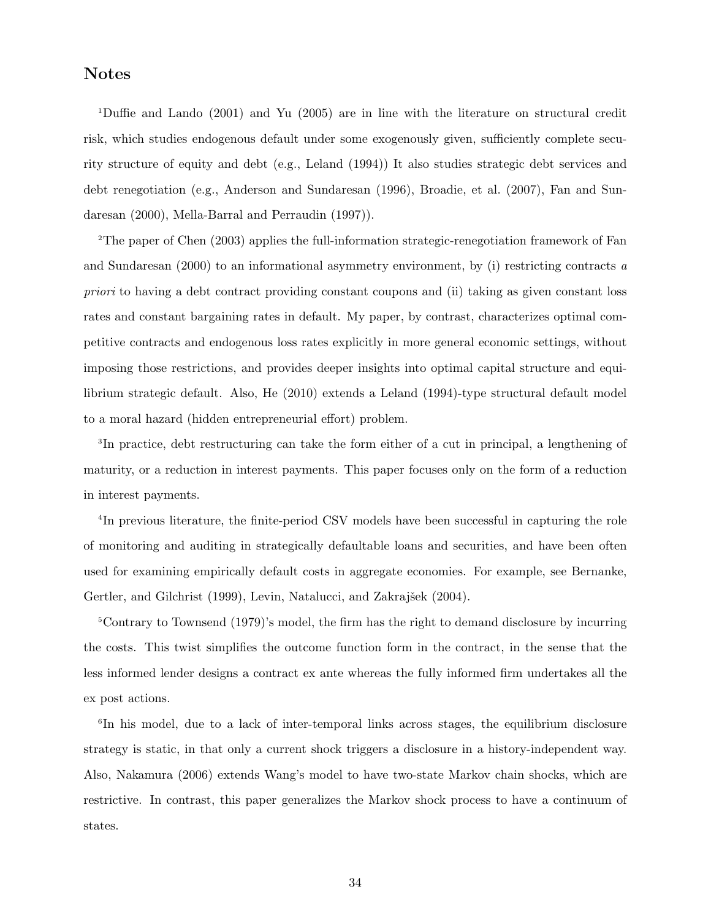### Notes

<sup>1</sup>Duffie and Lando (2001) and Yu (2005) are in line with the literature on structural credit risk, which studies endogenous default under some exogenously given, sufficiently complete security structure of equity and debt (e.g., Leland (1994)) It also studies strategic debt services and debt renegotiation (e.g., Anderson and Sundaresan (1996), Broadie, et al. (2007), Fan and Sundaresan (2000), Mella-Barral and Perraudin (1997)).

<sup>2</sup>The paper of Chen (2003) applies the full-information strategic-renegotiation framework of Fan and Sundaresan (2000) to an informational asymmetry environment, by (i) restricting contracts a priori to having a debt contract providing constant coupons and (ii) taking as given constant loss rates and constant bargaining rates in default. My paper, by contrast, characterizes optimal competitive contracts and endogenous loss rates explicitly in more general economic settings, without imposing those restrictions, and provides deeper insights into optimal capital structure and equilibrium strategic default. Also, He (2010) extends a Leland (1994)-type structural default model to a moral hazard (hidden entrepreneurial effort) problem.

3 In practice, debt restructuring can take the form either of a cut in principal, a lengthening of maturity, or a reduction in interest payments. This paper focuses only on the form of a reduction in interest payments.

4 In previous literature, the finite-period CSV models have been successful in capturing the role of monitoring and auditing in strategically defaultable loans and securities, and have been often used for examining empirically default costs in aggregate economies. For example, see Bernanke, Gertler, and Gilchrist (1999), Levin, Natalucci, and Zakrajšek (2004).

<sup>5</sup>Contrary to Townsend (1979)'s model, the firm has the right to demand disclosure by incurring the costs. This twist simplifies the outcome function form in the contract, in the sense that the less informed lender designs a contract ex ante whereas the fully informed firm undertakes all the ex post actions.

6 In his model, due to a lack of inter-temporal links across stages, the equilibrium disclosure strategy is static, in that only a current shock triggers a disclosure in a history-independent way. Also, Nakamura (2006) extends Wang's model to have two-state Markov chain shocks, which are restrictive. In contrast, this paper generalizes the Markov shock process to have a continuum of states.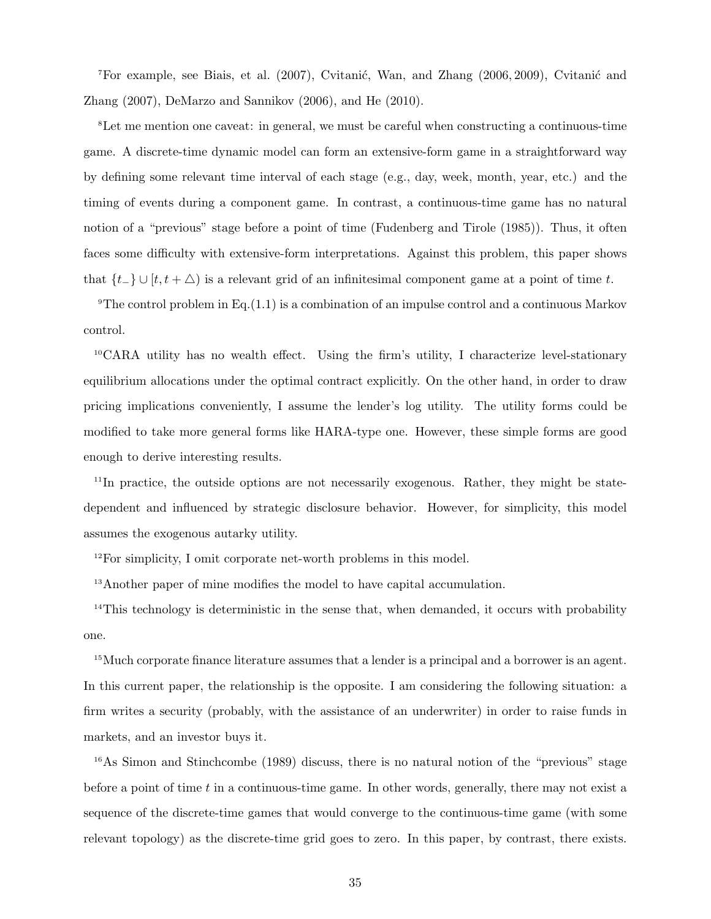<sup>7</sup>For example, see Biais, et al.  $(2007)$ , Cvitanić, Wan, and Zhang  $(2006, 2009)$ , Cvitanić and Zhang (2007), DeMarzo and Sannikov (2006), and He (2010).

<sup>8</sup>Let me mention one caveat: in general, we must be careful when constructing a continuous-time game. A discrete-time dynamic model can form an extensive-form game in a straightforward way by defining some relevant time interval of each stage (e.g., day, week, month, year, etc.) and the timing of events during a component game. In contrast, a continuous-time game has no natural notion of a "previous" stage before a point of time (Fudenberg and Tirole (1985)). Thus, it often faces some difficulty with extensive-form interpretations. Against this problem, this paper shows that  $\{t_-\}\cup [t, t+\triangle)$  is a relevant grid of an infinitesimal component game at a point of time t.

<sup>9</sup>The control problem in Eq.(1.1) is a combination of an impulse control and a continuous Markov control.

 ${}^{10}$ CARA utility has no wealth effect. Using the firm's utility, I characterize level-stationary equilibrium allocations under the optimal contract explicitly. On the other hand, in order to draw pricing implications conveniently, I assume the lender's log utility. The utility forms could be modified to take more general forms like HARA-type one. However, these simple forms are good enough to derive interesting results.

<sup>11</sup>In practice, the outside options are not necessarily exogenous. Rather, they might be statedependent and influenced by strategic disclosure behavior. However, for simplicity, this model assumes the exogenous autarky utility.

<sup>12</sup>For simplicity, I omit corporate net-worth problems in this model.

<sup>13</sup>Another paper of mine modifies the model to have capital accumulation.

<sup>14</sup>This technology is deterministic in the sense that, when demanded, it occurs with probability one.

<sup>15</sup>Much corporate finance literature assumes that a lender is a principal and a borrower is an agent. In this current paper, the relationship is the opposite. I am considering the following situation: a firm writes a security (probably, with the assistance of an underwriter) in order to raise funds in markets, and an investor buys it.

<sup>16</sup>As Simon and Stinchcombe (1989) discuss, there is no natural notion of the "previous" stage before a point of time  $t$  in a continuous-time game. In other words, generally, there may not exist a sequence of the discrete-time games that would converge to the continuous-time game (with some relevant topology) as the discrete-time grid goes to zero. In this paper, by contrast, there exists.